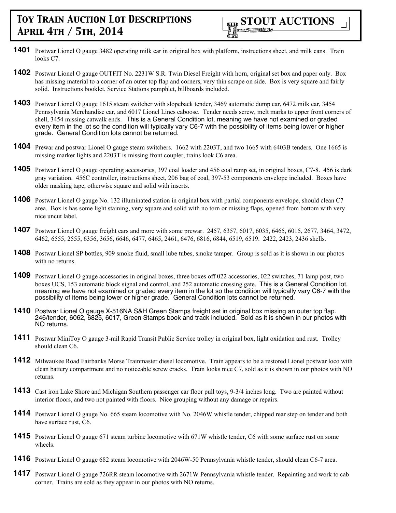- **1401** Postwar Lionel O gauge 3482 operating milk car in original box with platform, instructions sheet, and milk cans. Train looks C7.
- **1402** Postwar Lionel O gauge OUTFIT No. 2231W S.R. Twin Diesel Freight with horn, original set box and paper only. Box has missing material to a corner of an outer top flap and corners, very thin scrape on side. Box is very square and fairly solid. Instructions booklet, Service Stations pamphlet, billboards included.
- **1403** Postwar Lionel O gauge 1615 steam switcher with slopeback tender, 3469 automatic dump car, 6472 milk car, 3454 Pennsylvania Merchandise car, and 6017 Lionel Lines caboose. Tender needs screw, melt marks to upper front corners of shell, 3454 missing catwalk ends. This is a General Condition lot, meaning we have not examined or graded every item in the lot so the condition will typically vary C6-7 with the possibility of items being lower or higher grade. General Condition lots cannot be returned.
- **1404** Prewar and postwar Lionel O gauge steam switchers. 1662 with 2203T, and two 1665 with 6403B tenders. One 1665 is missing marker lights and 2203T is missing front coupler, trains look C6 area.
- **1405** Postwar Lionel O gauge operating accessories, 397 coal loader and 456 coal ramp set, in original boxes, C7-8. 456 is dark gray variation. 456C controller, instructions sheet, 206 bag of coal, 397-53 components envelope included. Boxes have older masking tape, otherwise square and solid with inserts.
- **1406** Postwar Lionel O gauge No. 132 illuminated station in original box with partial components envelope, should clean C7 area. Box is has some light staining, very square and solid with no torn or missing flaps, opened from bottom with very nice uncut label.
- **1407** Postwar Lionel O gauge freight cars and more with some prewar. 2457, 6357, 6017, 6035, 6465, 6015, 2677, 3464, 3472, 6462, 6555, 2555, 6356, 3656, 6646, 6477, 6465, 2461, 6476, 6816, 6844, 6519, 6519. 2422, 2423, 2436 shells.
- **1408** Postwar Lionel SP bottles, 909 smoke fluid, small lube tubes, smoke tamper. Group is sold as it is shown in our photos with no returns.
- **1409** Postwar Lionel O gauge accessories in original boxes, three boxes off 022 accessories, 022 switches, 71 lamp post, two boxes UCS, 153 automatic block signal and control, and 252 automatic crossing gate. This is a General Condition lot, meaning we have not examined or graded every item in the lot so the condition will typically vary C6-7 with the possibility of items being lower or higher grade. General Condition lots cannot be returned.
- **1410** Postwar Lionel O gauge X-516NA S&H Green Stamps freight set in original box missing an outer top flap. 246/tender, 6062, 6825, 6017, Green Stamps book and track included. Sold as it is shown in our photos with NO returns.
- **1411** Postwar MiniToy O gauge 3-rail Rapid Transit Public Service trolley in original box, light oxidation and rust. Trolley should clean C6.
- **1412** Milwaukee Road Fairbanks Morse Trainmaster diesel locomotive. Train appears to be a restored Lionel postwar loco with clean battery compartment and no noticeable screw cracks. Train looks nice C7, sold as it is shown in our photos with NO returns.
- **1413** Cast iron Lake Shore and Michigan Southern passenger car floor pull toys, 9-3/4 inches long. Two are painted without interior floors, and two not painted with floors. Nice grouping without any damage or repairs.
- **1414** Postwar Lionel O gauge No. 665 steam locomotive with No. 2046W whistle tender, chipped rear step on tender and both have surface rust, C6.
- **1415** Postwar Lionel O gauge 671 steam turbine locomotive with 671W whistle tender, C6 with some surface rust on some wheels.
- **1416** Postwar Lionel O gauge 682 steam locomotive with 2046W-50 Pennsylvania whistle tender, should clean C6-7 area.
- **1417** Postwar Lionel O gauge 726RR steam locomotive with 2671W Pennsylvania whistle tender. Repainting and work to cab corner. Trains are sold as they appear in our photos with NO returns.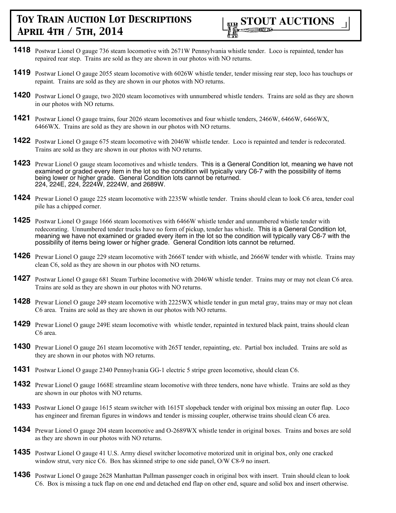

- **1418** Postwar Lionel O gauge 736 steam locomotive with 2671W Pennsylvania whistle tender. Loco is repainted, tender has repaired rear step. Trains are sold as they are shown in our photos with NO returns.
- **1419** Postwar Lionel O gauge 2055 steam locomotive with 6026W whistle tender, tender missing rear step, loco has touchups or repaint. Trains are sold as they are shown in our photos with NO returns.
- **1420** Postwar Lionel O gauge, two 2020 steam locomotives with unnumbered whistle tenders. Trains are sold as they are shown in our photos with NO returns.
- **1421** Postwar Lionel O gauge trains, four 2026 steam locomotives and four whistle tenders, 2466W, 6466W, 6466WX, 6466WX. Trains are sold as they are shown in our photos with NO returns.
- **1422** Postwar Lionel O gauge 675 steam locomotive with 2046W whistle tender. Loco is repainted and tender is redecorated. Trains are sold as they are shown in our photos with NO returns.
- **1423** Prewar Lionel O gauge steam locomotives and whistle tenders. This is a General Condition lot, meaning we have not examined or graded every item in the lot so the condition will typically vary C6-7 with the possibility of items being lower or higher grade. General Condition lots cannot be returned. 224, 224E, 224, 2224W, 2224W, and 2689W.
- **1424** Prewar Lionel O gauge 225 steam locomotive with 2235W whistle tender. Trains should clean to look C6 area, tender coal pile has a chipped corner.
- **1425** Postwar Lionel O gauge 1666 steam locomotives with 6466W whistle tender and unnumbered whistle tender with redecorating. Unnumbered tender trucks have no form of pickup, tender has whistle. This is a General Condition lot, meaning we have not examined or graded every item in the lot so the condition will typically vary C6-7 with the possibility of items being lower or higher grade. General Condition lots cannot be returned.
- **1426** Prewar Lionel O gauge 229 steam locomotive with 2666T tender with whistle, and 2666W tender with whistle. Trains may clean C6, sold as they are shown in our photos with NO returns.
- **1427** Postwar Lionel O gauge 681 Steam Turbine locomotive with 2046W whistle tender. Trains may or may not clean C6 area. Trains are sold as they are shown in our photos with NO returns.
- **1428** Prewar Lionel O gauge 249 steam locomotive with 2225WX whistle tender in gun metal gray, trains may or may not clean C6 area. Trains are sold as they are shown in our photos with NO returns.
- **1429** Prewar Lionel O gauge 249E steam locomotive with whistle tender, repainted in textured black paint, trains should clean C6 area.
- **1430** Prewar Lionel O gauge 261 steam locomotive with 265T tender, repainting, etc. Partial box included. Trains are sold as they are shown in our photos with NO returns.
- **1431** Postwar Lionel O gauge 2340 Pennsylvania GG-1 electric 5 stripe green locomotive, should clean C6.
- **1432** Prewar Lionel O gauge 1668E streamline steam locomotive with three tenders, none have whistle. Trains are sold as they are shown in our photos with NO returns.
- **1433** Postwar Lionel O gauge 1615 steam switcher with 1615T slopeback tender with original box missing an outer flap. Loco has engineer and fireman figures in windows and tender is missing coupler, otherwise trains should clean C6 area.
- **1434** Prewar Lionel O gauge 204 steam locomotive and O-2689WX whistle tender in original boxes. Trains and boxes are sold as they are shown in our photos with NO returns.
- **1435** Postwar Lionel O gauge 41 U.S. Army diesel switcher locomotive motorized unit in original box, only one cracked window strut, very nice C6. Box has skinned stripe to one side panel, O/W C8-9 no insert.
- **1436** Postwar Lionel O gauge 2628 Manhattan Pullman passenger coach in original box with insert. Train should clean to look C6. Box is missing a tuck flap on one end and detached end flap on other end, square and solid box and insert otherwise.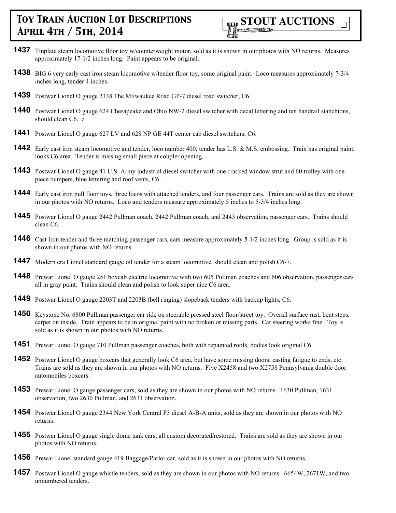

- **1437** Tinplate steam locomotive floor toy w/counterweight motor, sold as it is shown in our photos with NO returns. Measures approximately 17-1/2 inches long. Paint appears to be original.
- **1438** BIG 6 very early cast iron steam locomotive w/tender floor toy, some original paint. Loco measures approximately 7-3/4 inches long, tender 4 inches.
- **1439** Postwar Lionel O gauge 2338 The Milwaukee Road GP-7 diesel road switcher, C6.
- **1440** Postwar Lionel O gauge 624 Chesapeake and Ohio NW-2 diesel switcher with decal lettering and ten handrail stanchions, should clean C6. z
- **1441** Postwar Lionel O gauge 627 LV and 628 NP GE 44T center cab diesel switchers, C6.
- **1442** Early cast iron steam locomotive and tender, loco number 400, tender has L.S. & M.S. embossing. Train has original paint, looks C6 area. Tender is missing small piece at coupler opening.
- **1443** Postwar Lionel O gauge 41 U.S. Army industrial diesel switcher with one cracked window strut and 60 trolley with one piece bumpers, blue lettering and roof vents, C6.
- **1444** Early cast iron pull floor toys, three locos with attached tenders, and four passenger cars. Trains are sold as they are shown in our photos with NO returns. Loco and tenders measure approximately 5 inches to 5-3/4 inches long.
- **1445** Postwar Lionel O gauge 2442 Pullman coach, 2442 Pullman coach, and 2443 observation, passenger cars. Trains should clean C6.
- **1446** Cast Iron tender and three matching passenger cars, cars measure approximately 5-1/2 inches long. Group is sold as it is shown in our photos with NO returns.
- **1447** Modern era Lionel standard gauge oil tender for a steam locomotive, should clean and polish C6-7.
- **1448** Prewar Lionel O gauge 251 boxcab electric locomotive with two 605 Pullman coaches and 606 observation, passenger cars all in gray paint. Trains should clean and polish to look super nice C6 area.
- **1449** Postwar Lionel O gauge 2203T and 2203B (bell ringing) slopeback tenders with backup lights, C6.
- **1450** Keystone No. 6800 Pullman passenger car ride on steerable pressed steel floor/street toy. Overall surface rust, bent steps, carpet on inside. Train appears to be in original paint with no broken or missing parts. Car steering works fine. Toy is sold as it is shown in our photos with NO returns.
- **1451** Prewar Lionel O gauge 710 Pullman passenger coaches, both with repainted roofs, bodies look original C6.
- **1452** Postwar Lionel O gauge boxcars that generally look C6 area, but have some missing doors, casting fatigue to ends, etc. Trains are sold as they are shown in our photos with NO returns. Five X2458 and two X2758 Pennsylvania double door automobiles boxcars.
- **1453** Prewar Lionel O gauge passenger cars, sold as they are shown in our photos with NO returns. 1630 Pullman, 1631 observation, two 2630 Pullman, and 2631 observation.
- **1454** Postwar Lionel O gauge 2344 New York Central F3 diesel A-B-A units, sold as they are shown in our photos with NO returns.
- **1455** Postwar Lionel O gauge single dome tank cars, all custom decorated/restored. Trains are sold as they are shown in our photos with NO returns.
- **1456** Prewar Lionel standard gauge 419 Baggage/Parlor car, sold as it is shown in our photos with NO returns.
- **1457** Postwar Lionel O gauge whistle tenders, sold as they are shown in our photos with NO returns. 6654W, 2671W, and two unnumbered tenders.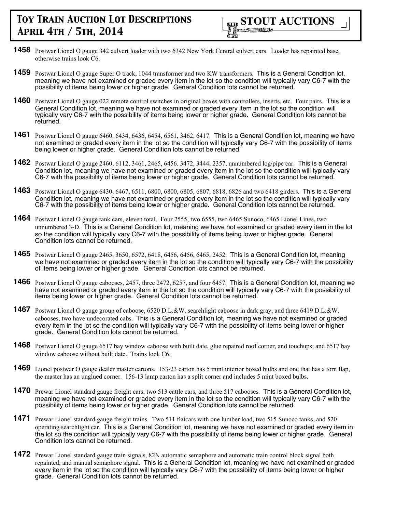- **1458** Postwar Lionel O gauge 342 culvert loader with two 6342 New York Central culvert cars. Loader has repainted base, otherwise trains look C6.
- **1459** Postwar Lionel O gauge Super O track, 1044 transformer and two KW transformers. This is a General Condition lot, meaning we have not examined or graded every item in the lot so the condition will typically vary C6-7 with the possibility of items being lower or higher grade. General Condition lots cannot be returned.
- **1460** Postwar Lionel O gauge 022 remote control switches in original boxes with controllers, inserts, etc. Four pairs. This is a General Condition lot, meaning we have not examined or graded every item in the lot so the condition will typically vary C6-7 with the possibility of items being lower or higher grade. General Condition lots cannot be returned.
- **1461** Postwar Lionel O gauge 6460, 6434, 6436, 6454, 6561, 3462, 6417. This is a General Condition lot, meaning we have not examined or graded every item in the lot so the condition will typically vary C6-7 with the possibility of items being lower or higher grade. General Condition lots cannot be returned.
- **1462** Postwar Lionel O gauge 2460, 6112, 3461, 2465, 6456. 3472, 3444, 2357, unnumbered log/pipe car. This is a General Condition lot, meaning we have not examined or graded every item in the lot so the condition will typically vary C6-7 with the possibility of items being lower or higher grade. General Condition lots cannot be returned.
- **1463** Postwar Lionel O gauge 6430, 6467, 6511, 6800, 6800, 6805, 6807, 6818, 6826 and two 6418 girders. This is a General Condition lot, meaning we have not examined or graded every item in the lot so the condition will typically vary C6-7 with the possibility of items being lower or higher grade. General Condition lots cannot be returned.
- **1464** Postwar Lionel O gauge tank cars, eleven total. Four 2555, two 6555, two 6465 Sunoco, 6465 Lionel Lines, two unnumbered 3-D. This is a General Condition lot, meaning we have not examined or graded every item in the lot so the condition will typically vary C6-7 with the possibility of items being lower or higher grade. General Condition lots cannot be returned.
- **1465** Postwar Lionel O gauge 2465, 3650, 6572, 6418, 6456, 6456, 6465, 2452. This is a General Condition lot, meaning we have not examined or graded every item in the lot so the condition will typically vary C6-7 with the possibility of items being lower or higher grade. General Condition lots cannot be returned.
- **1466** Postwar Lionel O gauge cabooses, 2457, three 2472, 6257, and four 6457. This is a General Condition lot, meaning we have not examined or graded every item in the lot so the condition will typically vary C6-7 with the possibility of items being lower or higher grade. General Condition lots cannot be returned.
- **1467** Postwar Lionel O gauge group of caboose, 6520 D.L.&W. searchlight caboose in dark gray, and three 6419 D.L.&W. cabooses, two have undecorated cabs. This is a General Condition lot, meaning we have not examined or graded every item in the lot so the condition will typically vary C6-7 with the possibility of items being lower or higher grade. General Condition lots cannot be returned.
- **1468** Postwar Lionel O gauge 6517 bay window caboose with built date, glue repaired roof corner, and touchups; and 6517 bay window caboose without built date. Trains look C6.
- **1469** Lionel postwar O gauge dealer master cartons. 153-23 carton has 5 mint interior boxed bulbs and one that has a torn flap, the master has an unglued corner. 156-13 lamp carton has a split corner and includes 5 mint boxed bulbs.
- **1470** Prewar Lionel standard gauge freight cars, two 513 cattle cars, and three 517 cabooses. This is a General Condition lot, meaning we have not examined or graded every item in the lot so the condition will typically vary C6-7 with the possibility of items being lower or higher grade. General Condition lots cannot be returned.
- **1471** Prewar Lionel standard gauge freight trains. Two 511 flatcars with one lumber load, two 515 Sunoco tanks, and 520 operating searchlight car. This is a General Condition lot, meaning we have not examined or graded every item in the lot so the condition will typically vary C6-7 with the possibility of items being lower or higher grade. General Condition lots cannot be returned.
- **1472** Prewar Lionel standard gauge train signals, 82N automatic semaphore and automatic train control block signal both repainted, and manual semaphore signal. This is a General Condition lot, meaning we have not examined or graded every item in the lot so the condition will typically vary C6-7 with the possibility of items being lower or higher grade. General Condition lots cannot be returned.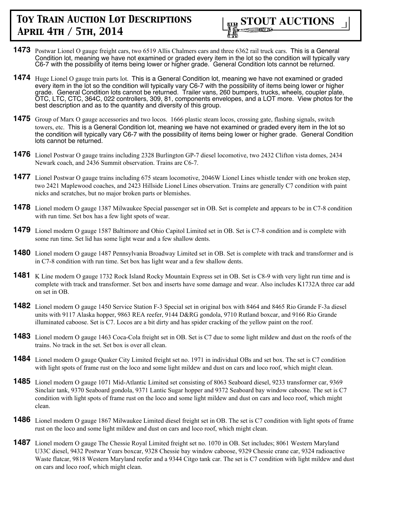

- **1473** Postwar Lionel O gauge freight cars, two 6519 Allis Chalmers cars and three 6362 rail truck cars. This is a General Condition lot, meaning we have not examined or graded every item in the lot so the condition will typically vary C6-7 with the possibility of items being lower or higher grade. General Condition lots cannot be returned.
- **1474** Huge Lionel O gauge train parts lot. This is a General Condition lot, meaning we have not examined or graded every item in the lot so the condition will typically vary C6-7 with the possibility of items being lower or higher grade. General Condition lots cannot be returned. Trailer vans, 260 bumpers, trucks, wheels, coupler plate, OTC, LTC, CTC, 364C, 022 controllers, 309, 81, components envelopes, and a LOT more. View photos for the best description and as to the quantity and diversity of this group.
- **1475** Group of Marx O gauge accessories and two locos. 1666 plastic steam locos, crossing gate, flashing signals, switch towers, etc. This is a General Condition lot, meaning we have not examined or graded every item in the lot so the condition will typically vary C6-7 with the possibility of items being lower or higher grade. General Condition lots cannot be returned.
- **1476** Lionel Postwar O gauge trains including 2328 Burlington GP-7 diesel locomotive, two 2432 Clifton vista domes, 2434 Newark coach, and 2436 Summit observation. Trains are C6-7.
- **1477** Lionel Postwar O gauge trains including 675 steam locomotive, 2046W Lionel Lines whistle tender with one broken step, two 2421 Maplewood coaches, and 2423 Hillside Lionel Lines observation. Trains are generally C7 condition with paint nicks and scratches, but no major broken parts or blemishes.
- **1478** Lionel modern O gauge 1387 Milwaukee Special passenger set in OB. Set is complete and appears to be in C7-8 condition with run time. Set box has a few light spots of wear.
- **1479** Lionel modern O gauge 1587 Baltimore and Ohio Capitol Limited set in OB. Set is C7-8 condition and is complete with some run time. Set lid has some light wear and a few shallow dents.
- 1480 Lionel modern O gauge 1487 Pennsylvania Broadway Limited set in OB. Set is complete with track and transformer and is in C7-8 condition with run time. Set box has light wear and a few shallow dents.
- **1481** K Line modern O gauge 1732 Rock Island Rocky Mountain Express set in OB. Set is C8-9 with very light run time and is complete with track and transformer. Set box and inserts have some damage and wear. Also includes K1732A three car add on set in OB.
- **1482** Lionel modern O gauge 1450 Service Station F-3 Special set in original box with 8464 and 8465 Rio Grande F-3a diesel units with 9117 Alaska hopper, 9863 REA reefer, 9144 D&RG gondola, 9710 Rutland boxcar, and 9166 Rio Grande illuminated caboose. Set is C7. Locos are a bit dirty and has spider cracking of the yellow paint on the roof.
- **1483** Lionel modern O gauge 1463 Coca-Cola freight set in OB. Set is C7 due to some light mildew and dust on the roofs of the trains. No track in the set. Set box is over all clean.
- **1484** Lionel modern O gauge Quaker City Limited freight set no. 1971 in individual OBs and set box. The set is C7 condition with light spots of frame rust on the loco and some light mildew and dust on cars and loco roof, which might clean.
- **1485** Lionel modern O gauge 1071 Mid-Atlantic Limited set consisting of 8063 Seaboard diesel, 9233 transformer car, 9369 Sinclair tank, 9370 Seaboard gondola, 9371 Lantic Sugar hopper and 9372 Seaboard bay window caboose. The set is C7 condition with light spots of frame rust on the loco and some light mildew and dust on cars and loco roof, which might clean.
- **1486** Lionel modern O gauge 1867 Milwaukee Limited diesel freight set in OB. The set is C7 condition with light spots of frame rust on the loco and some light mildew and dust on cars and loco roof, which might clean.
- **1487** Lionel modern O gauge The Chessie Royal Limited freight set no. 1070 in OB. Set includes; 8061 Western Maryland U33C diesel, 9432 Postwar Years boxcar, 9328 Chessie bay window caboose, 9329 Chessie crane car, 9324 radioactive Waste flatcar, 9818 Western Maryland reefer and a 9344 Citgo tank car. The set is C7 condition with light mildew and dust on cars and loco roof, which might clean.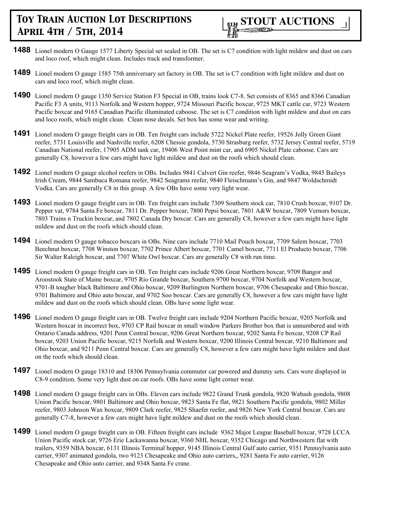

- **1488** Lionel modern O Gauge 1577 Liberty Special set sealed in OB. The set is C7 condition with light mildew and dust on cars and loco roof, which might clean. Includes track and transformer.
- **1489** Lionel modern O gauge 1585 75th anniversary set factory in OB. The set is C7 condition with light mildew and dust on cars and loco roof, which might clean.
- **1490** Lionel modern O gauge 1350 Service Station F3 Special in OB, trains look C7-8. Set consists of 8365 and 8366 Canadian Pacific F3 A units, 9113 Norfolk and Western hopper, 9724 Missouri Pacific boxcar, 9725 MKT cattle car, 9723 Western Pacific boxcar and 9165 Canadian Pacific illuminated caboose. The set is C7 condition with light mildew and dust on cars and loco roofs, which might clean. Clean nose decals. Set box has some wear and writing.
- **1491** Lionel modern O gauge freight cars in OB. Ten freight cars include 5722 Nickel Plate reefer, 19526 Jolly Green Giant reefer, 5731 Louisville and Nashville reefer, 6208 Chessie gondola, 5730 Strasburg reefer, 5732 Jersey Central reefer, 5719 Canadian National reefer, 17905 ADM tank car, 19406 West Point mint car, and 6905 Nickel Plate caboose. Cars are generally C8, however a few cars might have light mildew and dust on the roofs which should clean.
- **1492** Lionel modern O gauge alcohol reefers in OBs. Includes 9841 Calvert Gin reefer, 9846 Seagram's Vodka, 9845 Baileys Irish Cream, 9844 Sambuca Romana reefer, 9842 Seagrams reefer, 9840 Fleischmann's Gin, and 9847 Woldschmidt Vodka. Cars are generally C8 in this group. A few OBs have some very light wear.
- **1493** Lionel modern O gauge freight cars in OB. Ten freight cars include 7309 Southern stock car, 7810 Crush boxcar, 9107 Dr. Pepper vat, 9784 Santa Fe boxcar, 7811 Dr. Pepper boxcar, 7800 Pepsi boxcar, 7801 A&W boxcar, 7809 Vernors boxcar, 7803 Trains n Truckin boxcar, and 7802 Canada Dry boxcar. Cars are generally C8, however a few cars might have light mildew and dust on the roofs which should clean.
- **1494** Lionel modern O gauge tobacco boxcars in OBs. Nine cars include 7710 Mail Pouch boxcar, 7709 Salem boxcar, 7703 Beechnut boxcar, 7708 Winston boxcar, 7702 Prince Albert boxcar, 7701 Camel boxcar, 7711 El Producto boxcar, 7706 Sir Walter Raleigh boxcar, and 7707 White Owl boxcar. Cars are generally C8 with run time.
- **1495** Lionel modern O gauge freight cars in OB. Ten freight cars include 9206 Great Northern boxcar, 9709 Bangor and Aroostook State of Maine boxcar, 9705 Rio Grande boxcar, Southern 9700 boxcar, 9704 Norfolk and Western boxcar, 9701-B tougher black Baltimore and Ohio boxcar, 9209 Burlington Northern boxcar, 9706 Chesapeake and Ohio boxcar, 9701 Baltimore and Ohio auto boxcar, and 9702 Soo boxcar. Cars are generally C8, however a few cars might have light mildew and dust on the roofs which should clean. OBs have some light wear.
- **1496** Lionel modern O gauge freight cars in OB. Twelve freight cars include 9204 Northern Pacific boxcar, 9205 Norfolk and Western boxcar in incorrect box, 9703 CP Rail boxcar in small window Parkers Brother box that is unnumbered and with Ontario Canada address, 9201 Penn Central boxcar, 9206 Great Northern boxcar, 9202 Santa Fe boxcar, 9208 CP Rail boxcar, 9203 Union Pacific boxcar, 9215 Norfolk and Western boxcar, 9200 Illinois Central boxcar, 9210 Baltimore and Ohio boxcar, and 9211 Penn Central boxcar. Cars are generally C8, however a few cars might have light mildew and dust on the roofs which should clean.
- **1497** Lionel modern O gauge 18310 and 18306 Pennsylvania commuter car powered and dummy sets. Cars were displayed in C8-9 condition. Some very light dust on car roofs. OBs have some light corner wear.
- **1498** Lionel modern O gauge freight cars in OBs. Eleven cars include 9822 Grand Trunk gondola, 9820 Wabash gondola, 9808 Union Pacific boxcar, 9801 Baltimore and Ohio boxcar, 9823 Santa Fe flat, 9821 Southern Pacific gondola, 9802 Miller reefer, 9803 Johnson Wax boxcar, 9809 Clark reefer, 9825 Shaefer reefer, and 9826 New York Central boxcar. Cars are generally C7-8, however a few cars might have light mildew and dust on the roofs which should clean.
- **1499** Lionel modern O gauge freight cars in OB. Fifteen freight cars include 9362 Major League Baseball boxcar, 9728 LCCA Union Pacific stock car, 9726 Erie Lackawanna boxcar, 9360 NHL boxcar, 9352 Chicago and Northwestern flat with trailers, 9359 NBA boxcar, 6131 Illinois Terminal hopper, 9145 Illinois Central Gulf auto carrier, 9351 Pennsylvania auto carrier, 9307 animated gondola, two 9123 Chesapeake and Ohio auto carriers,, 9281 Santa Fe auto carrier, 9126 Chesapeake and Ohio auto carrier, and 9348 Santa Fe crane.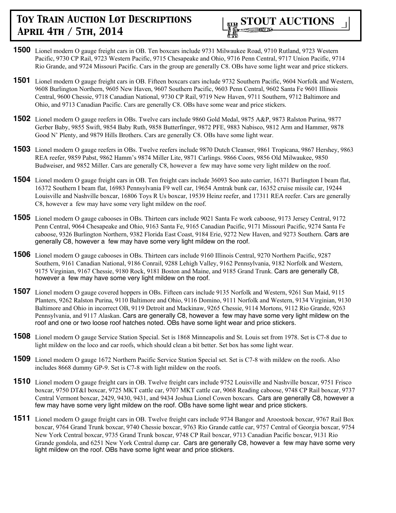

- **1500** Lionel modern O gauge freight cars in OB. Ten boxcars include 9731 Milwaukee Road, 9710 Rutland, 9723 Western Pacific, 9730 CP Rail, 9723 Western Pacific, 9715 Chesapeake and Ohio, 9716 Penn Central, 9717 Union Pacific, 9714 Rio Grande, and 9724 Missouri Pacific. Cars in the group are generally C8. OBs have some light wear and price stickers.
- **1501** Lionel modern O gauge freight cars in OB. Fifteen boxcars cars include 9732 Southern Pacific, 9604 Norfolk and Western, 9608 Burlington Northern, 9605 New Haven, 9607 Southern Pacific, 9603 Penn Central, 9602 Santa Fe 9601 Illinois Central, 9600 Chessie, 9718 Canadian National, 9730 CP Rail, 9719 New Haven, 9711 Southern, 9712 Baltimore and Ohio, and 9713 Canadian Pacific. Cars are generally C8. OBs have some wear and price stickers.
- **1502** Lionel modern O gauge reefers in OBs. Twelve cars include 9860 Gold Medal, 9875 A&P, 9873 Ralston Purina, 9877 Gerber Baby, 9855 Swift, 9854 Baby Ruth, 9858 Butterfinger, 9872 PFE, 9883 Nabisco, 9812 Arm and Hammer, 9878 Good N' Plenty, and 9879 Hills Brothers. Cars are generally C8. OBs have some light wear.
- **1503** Lionel modern O gauge reefers in OBs. Twelve reefers include 9870 Dutch Cleanser, 9861 Tropicana, 9867 Hershey, 9863 REA reefer, 9859 Pabst, 9862 Hamm's 9874 Miller Lite, 9871 Carlings. 9866 Coors, 9856 Old Milwaukee, 9850 Budweiser, and 9852 Miller. Cars are generally C8, however a few may have some very light mildew on the roof.
- **1504** Lionel modern O gauge freight cars in OB. Ten freight cars include 36093 Soo auto carrier, 16371 Burlington I beam flat, 16372 Southern I beam flat, 16983 Pennsylvania F9 well car, 19654 Amtrak bunk car, 16352 cruise missile car, 19244 Louisville and Nashville boxcar, 16806 Toys R Us boxcar, 19539 Heinz reefer, and 17311 REA reefer. Cars are generally C8, however a few may have some very light mildew on the roof.
- **1505** Lionel modern O gauge cabooses in OBs. Thirteen cars include 9021 Santa Fe work caboose, 9173 Jersey Central, 9172 Penn Central, 9064 Chesapeake and Ohio, 9163 Santa Fe, 9165 Canadian Pacific, 9171 Missouri Pacific, 9274 Santa Fe caboose, 9326 Burlington Northern, 9382 Florida East Coast, 9184 Erie, 9272 New Haven, and 9273 Southern. Cars are generally C8, however a few may have some very light mildew on the roof.
- **1506** Lionel modern O gauge cabooses in OBs. Thirteen cars include 9160 Illinois Central, 9270 Northern Pacific, 9287 Southern, 9161 Canadian National, 9186 Conrail, 9288 Lehigh Valley, 9162 Pennsylvania, 9182 Norfolk and Western, 9175 Virginian, 9167 Chessie, 9180 Rock, 9181 Boston and Maine, and 9185 Grand Trunk. Cars are generally C8, however a few may have some very light mildew on the roof.
- **1507** Lionel modern O gauge covered hoppers in OBs. Fifteen cars include 9135 Norfolk and Western, 9261 Sun Maid, 9115 Planters, 9262 Ralston Purina, 9110 Baltimore and Ohio, 9116 Domino, 9111 Norfolk and Western, 9134 Virginian, 9130 Baltimore and Ohio in incorrect OB, 9119 Detroit and Mackinaw, 9265 Chessie, 9114 Mortons, 9112 Rio Grande, 9263 Pennsylvania, and 9117 Alaskan. Cars are generally C8, however a few may have some very light mildew on the roof and one or two loose roof hatches noted. OBs have some light wear and price stickers.
- **1508** Lionel modern O gauge Service Station Special. Set is 1868 Minneapolis and St. Louis set from 1978. Set is C7-8 due to light mildew on the loco and car roofs, which should clean a bit better. Set box has some light wear.
- **1509** Lionel modern O gauge 1672 Northern Pacific Service Station Special set. Set is C7-8 with mildew on the roofs. Also includes 8668 dummy GP-9. Set is C7-8 with light mildew on the roofs.
- **1510** Lionel modern O gauge freight cars in OB. Twelve freight cars include 9752 Louisville and Nashville boxcar, 9751 Frisco boxcar, 9750 DT&I boxcar, 9725 MKT cattle car, 9707 MKT cattle car, 9068 Reading caboose, 9748 CP Rail boxcar, 9737 Central Vermont boxcar, 2429, 9430, 9431, and 9434 Joshua Lionel Cowen boxcars. Cars are generally C8, however a few may have some very light mildew on the roof. OBs have some light wear and price stickers.
- **1511** Lionel modern O gauge freight cars in OB. Twelve freight cars include 9734 Bangor and Aroostook boxcar, 9767 Rail Box boxcar, 9764 Grand Trunk boxcar, 9740 Chessie boxcar, 9763 Rio Grande cattle car, 9757 Central of Georgia boxcar, 9754 New York Central boxcar, 9735 Grand Trunk boxcar, 9748 CP Rail boxcar, 9713 Canadian Pacific boxcar, 9131 Rio Grande gondola, and 6251 New York Central dump car. Cars are generally C8, however a few may have some very light mildew on the roof. OBs have some light wear and price stickers.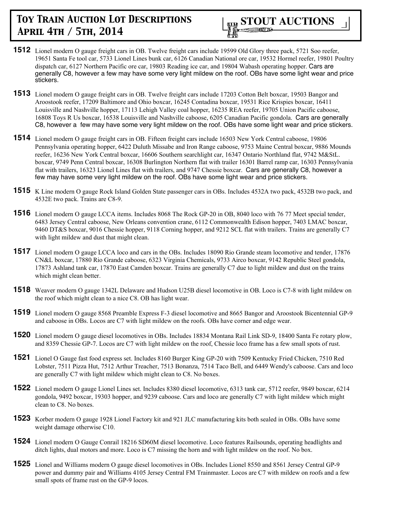- **1512** Lionel modern O gauge freight cars in OB. Twelve freight cars include 19599 Old Glory three pack, 5721 Soo reefer, 19651 Santa Fe tool car, 5733 Lionel Lines bunk car, 6126 Canadian National ore car, 19532 Hormel reefer, 19801 Poultry dispatch car, 6127 Northern Pacific ore car, 19803 Reading ice car, and 19804 Wabash operating hopper. Cars are generally C8, however a few may have some very light mildew on the roof. OBs have some light wear and price stickers.
- **1513** Lionel modern O gauge freight cars in OB. Twelve freight cars include 17203 Cotton Belt boxcar, 19503 Bangor and Aroostook reefer, 17209 Baltimore and Ohio boxcar, 16245 Contadina boxcar, 19531 Rice Krispies boxcar, 16411 Louisville and Nashville hopper, 17113 Lehigh Valley coal hopper, 16235 REA reefer, 19705 Union Pacific caboose, 16808 Toys R Us boxcar, 16538 Louisville and Nashville caboose, 6205 Canadian Pacific gondola. Cars are generally C8, however a few may have some very light mildew on the roof. OBs have some light wear and price stickers.
- **1514** Lionel modern O gauge freight cars in OB. Fifteen freight cars include 16503 New York Central caboose, 19806 Pennsylvania operating hopper, 6422 Duluth Missabe and Iron Range caboose, 9753 Maine Central boxcar, 9886 Mounds reefer, 16236 New York Central boxcar, 16606 Southern searchlight car, 16347 Ontario Northland flat, 9742 M&StL. boxcar, 9749 Penn Central boxcar, 16308 Burlington Northern flat with trailer 16301 Barrel ramp car, 16303 Pennsylvania flat with trailers, 16323 Lionel Lines flat with trailers, and 9747 Chessie boxcar. Cars are generally C8, however a few may have some very light mildew on the roof. OBs have some light wear and price stickers.
- **1515** K Line modern O gauge Rock Island Golden State passenger cars in OBs. Includes 4532A two pack, 4532B two pack, and 4532E two pack. Trains are C8-9.
- **1516** Lionel modern O gauge LCCA items. Includes 8068 The Rock GP-20 in OB, 8040 loco with 76 77 Meet special tender, 6483 Jersey Central caboose, New Orleans convention crane, 6112 Commonwealth Edison hopper, 7403 LMAC boxcar, 9460 DT&S boxcar, 9016 Chessie hopper, 9118 Corning hopper, and 9212 SCL flat with trailers. Trains are generally C7 with light mildew and dust that might clean.
- **1517** Lionel modern O gauge LCCA loco and cars in the OBs. Includes 18090 Rio Grande steam locomotive and tender, 17876 CN&L boxcar, 17880 Rio Grande caboose, 6323 Virginia Chemicals, 9733 Airco boxcar, 9142 Republic Steel gondola, 17873 Ashland tank car, 17870 East Camden boxcar. Trains are generally C7 due to light mildew and dust on the trains which might clean better.
- **1518** Weaver modern O gauge 1342L Delaware and Hudson U25B diesel locomotive in OB. Loco is C7-8 with light mildew on the roof which might clean to a nice C8. OB has light wear.
- **1519** Lionel modern O gauge 8568 Preamble Express F-3 diesel locomotive and 8665 Bangor and Aroostook Bicentennial GP-9 and caboose in OBs. Locos are C7 with light mildew on the roofs. OBs have corner and edge wear.
- **1520** Lionel modern O gauge diesel locomotives in OBs. Includes 18834 Montana Rail Link SD-9, 18400 Santa Fe rotary plow, and 8359 Chessie GP-7. Locos are C7 with light mildew on the roof, Chessie loco frame has a few small spots of rust.
- **1521** Lionel O Gauge fast food express set. Includes 8160 Burger King GP-20 with 7509 Kentucky Fried Chicken, 7510 Red Lobster, 7511 Pizza Hut, 7512 Arthur Treacher, 7513 Bonanza, 7514 Taco Bell, and 6449 Wendy's caboose. Cars and loco are generally C7 with light mildew which might clean to C8. No boxes.
- **1522** Lionel modern O gauge Lionel Lines set. Includes 8380 diesel locomotive, 6313 tank car, 5712 reefer, 9849 boxcar, 6214 gondola, 9492 boxcar, 19303 hopper, and 9239 caboose. Cars and loco are generally C7 with light mildew which might clean to C8. No boxes.
- **1523** Korber modern O gauge 1928 Lionel Factory kit and 921 JLC manufacturing kits both sealed in OBs. OBs have some weight damage otherwise C10.
- **1524** Lionel modern O Gauge Conrail 18216 SD60M diesel locomotive. Loco features Railsounds, operating headlights and ditch lights, dual motors and more. Loco is C7 missing the horn and with light mildew on the roof. No box.
- **1525** Lionel and Williams modern O gauge diesel locomotives in OBs. Includes Lionel 8550 and 8561 Jersey Central GP-9 power and dummy pair and Williams 4105 Jersey Central FM Trainmaster. Locos are C7 with mildew on roofs and a few small spots of frame rust on the GP-9 locos.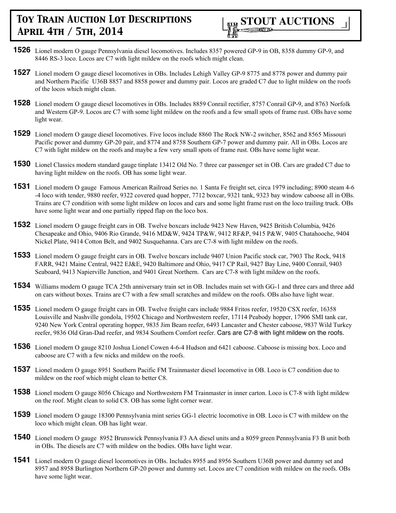

- **1526** Lionel modern O gauge Pennsylvania diesel locomotives. Includes 8357 powered GP-9 in OB, 8358 dummy GP-9, and 8446 RS-3 loco. Locos are C7 with light mildew on the roofs which might clean.
- **1527** Lionel modern O gauge diesel locomotives in OBs. Includes Lehigh Valley GP-9 8775 and 8778 power and dummy pair and Northern Pacific U36B 8857 and 8858 power and dummy pair. Locos are graded C7 due to light mildew on the roofs of the locos which might clean.
- **1528** Lionel modern O gauge diesel locomotives in OBs. Includes 8859 Conrail rectifier, 8757 Conrail GP-9, and 8763 Norfolk and Western GP-9. Locos are C7 with some light mildew on the roofs and a few small spots of frame rust. OBs have some light wear.
- **1529** Lionel modern O gauge diesel locomotives. Five locos include 8860 The Rock NW-2 switcher, 8562 and 8565 Missouri Pacific power and dummy GP-20 pair, and 8774 and 8758 Southern GP-7 power and dummy pair. All in OBs. Locos are C7 with light mildew on the roofs and maybe a few very small spots of frame rust. OBs have some light wear.
- **1530** Lionel Classics modern standard gauge tinplate 13412 Old No. 7 three car passenger set in OB. Cars are graded C7 due to having light mildew on the roofs. OB has some light wear.
- **1531** Lionel modern O gauge Famous American Railroad Series no. 1 Santa Fe freight set, circa 1979 including; 8900 steam 4-6 -4 loco with tender, 9880 reefer, 9322 covered quad hopper, 7712 boxcar, 9321 tank, 9323 bay window caboose all in OBs. Trains are C7 condition with some light mildew on locos and cars and some light frame rust on the loco trailing truck. OBs have some light wear and one partially ripped flap on the loco box.
- **1532** Lionel modern O gauge freight cars in OB. Twelve boxcars include 9423 New Haven, 9425 British Columbia, 9426 Chesapeake and Ohio, 9406 Rio Grande, 9416 MD&W, 9424 TP&W, 9412 RF&P, 9415 P&W, 9405 Chatahooche, 9404 Nickel Plate, 9414 Cotton Belt, and 9402 Susquehanna. Cars are C7-8 with light mildew on the roofs.
- **1533** Lionel modern O gauge freight cars in OB. Twelve boxcars include 9407 Union Pacific stock car, 7903 The Rock, 9418 FARR, 9421 Maine Central, 9422 EJ&E, 9420 Baltimore and Ohio, 9417 CP Rail, 9427 Bay Line, 9400 Conrail, 9403 Seaboard, 9413 Napierville Junction, and 9401 Great Northern. Cars are C7-8 with light mildew on the roofs.
- **1534** Williams modern O gauge TCA 25th anniversary train set in OB. Includes main set with GG-1 and three cars and three add on cars without boxes. Trains are C7 with a few small scratches and mildew on the roofs. OBs also have light wear.
- **1535** Lionel modern O gauge freight cars in OB. Twelve freight cars include 9884 Fritos reefer, 19520 CSX reefer, 16358 Louisville and Nashville gondola, 19502 Chicago and Northwestern reefer, 17114 Peabody hopper, 17906 SMI tank car, 9240 New York Central operating hopper, 9835 Jim Beam reefer, 6493 Lancaster and Chester caboose, 9837 Wild Turkey reefer, 9836 Old Gran-Dad reefer, and 9834 Southern Comfort reefer. Cars are C7-8 with light mildew on the roofs.
- **1536** Lionel modern O gauge 8210 Joshua Lionel Cowen 4-6-4 Hudson and 6421 caboose. Caboose is missing box. Loco and caboose are C7 with a few nicks and mildew on the roofs.
- **1537** Lionel modern O gauge 8951 Southern Pacific FM Trainmaster diesel locomotive in OB. Loco is C7 condition due to mildew on the roof which might clean to better C8.
- **1538** Lionel modern O gauge 8056 Chicago and Northwestern FM Trainmaster in inner carton. Loco is C7-8 with light mildew on the roof. Might clean to solid C8. OB has some light corner wear.
- **1539** Lionel modern O gauge 18300 Pennsylvania mint series GG-1 electric locomotive in OB. Loco is C7 with mildew on the loco which might clean. OB has light wear.
- **1540** Lionel modern O gauge 8952 Brunswick Pennsylvania F3 AA diesel units and a 8059 green Pennsylvania F3 B unit both in OBs. The diesels are C7 with mildew on the bodies. OBs have light wear.
- **1541** Lionel modern O gauge diesel locomotives in OBs. Includes 8955 and 8956 Southern U36B power and dummy set and 8957 and 8958 Burlington Northern GP-20 power and dummy set. Locos are C7 condition with mildew on the roofs. OBs have some light wear.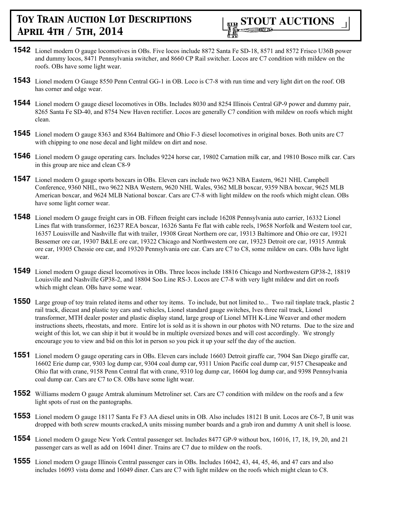

- **1542** Lionel modern O gauge locomotives in OBs. Five locos include 8872 Santa Fe SD-18, 8571 and 8572 Frisco U36B power and dummy locos, 8471 Pennsylvania switcher, and 8660 CP Rail switcher. Locos are C7 condition with mildew on the roofs. OBs have some light wear.
- **1543** Lionel modern O Gauge 8550 Penn Central GG-1 in OB. Loco is C7-8 with run time and very light dirt on the roof. OB has corner and edge wear.
- **1544** Lionel modern O gauge diesel locomotives in OBs. Includes 8030 and 8254 Illinois Central GP-9 power and dummy pair, 8265 Santa Fe SD-40, and 8754 New Haven rectifier. Locos are generally C7 condition with mildew on roofs which might clean.
- **1545** Lionel modern O gauge 8363 and 8364 Baltimore and Ohio F-3 diesel locomotives in original boxes. Both units are C7 with chipping to one nose decal and light mildew on dirt and nose.
- **1546** Lionel modern O gauge operating cars. Includes 9224 horse car, 19802 Carnation milk car, and 19810 Bosco milk car. Cars in this group are nice and clean C8-9
- **1547** Lionel modern O gauge sports boxcars in OBs. Eleven cars include two 9623 NBA Eastern, 9621 NHL Campbell Conference, 9360 NHL, two 9622 NBA Western, 9620 NHL Wales, 9362 MLB boxcar, 9359 NBA boxcar, 9625 MLB American boxcar, and 9624 MLB National boxcar. Cars are C7-8 with light mildew on the roofs which might clean. OBs have some light corner wear.
- **1548** Lionel modern O gauge freight cars in OB. Fifteen freight cars include 16208 Pennsylvania auto carrier, 16332 Lionel Lines flat with transformer, 16237 REA boxcar, 16326 Santa Fe flat with cable reels, 19658 Norfolk and Western tool car, 16357 Louisville and Nashville flat with trailer, 19308 Great Northern ore car, 19313 Baltimore and Ohio ore car, 19321 Bessemer ore car, 19307 B&LE ore car, 19322 Chicago and Northwestern ore car, 19323 Detroit ore car, 19315 Amtrak ore car, 19305 Chessie ore car, and 19320 Pennsylvania ore car. Cars are C7 to C8, some mildew on cars. OBs have light wear.
- **1549** Lionel modern O gauge diesel locomotives in OBs. Three locos include 18816 Chicago and Northwestern GP38-2, 18819 Louisville and Nashville GP38-2, and 18804 Soo Line RS-3. Locos are C7-8 with very light mildew and dirt on roofs which might clean. OBs have some wear.
- **1550** Large group of toy train related items and other toy items. To include, but not limited to... Two rail tinplate track, plastic 2 rail track, diecast and plastic toy cars and vehicles, Lionel standard gauge switches, Ives three rail track, Lionel transformer, MTH dealer poster and plastic display stand, large group of Lionel MTH K-Line Weaver and other modern instructions sheets, rheostats, and more. Entire lot is sold as it is shown in our photos with NO returns. Due to the size and weight of this lot, we can ship it but it would be in multiple oversized boxes and will cost accordingly. We strongly encourage you to view and bid on this lot in person so you pick it up your self the day of the auction.
- **1551** Lionel modern O gauge operating cars in OBs. Eleven cars include 16603 Detroit giraffe car, 7904 San Diego giraffe car, 16602 Erie dump car, 9303 log dump car, 9304 coal dump car, 9311 Union Pacific coal dump car, 9157 Chesapeake and Ohio flat with crane, 9158 Penn Central flat with crane, 9310 log dump car, 16604 log dump car, and 9398 Pennsylvania coal dump car. Cars are C7 to C8. OBs have some light wear.
- **1552** Williams modern O gauge Amtrak aluminum Metroliner set. Cars are C7 condition with mildew on the roofs and a few light spots of rust on the pantographs.
- **1553** Lionel modern O gauge 18117 Santa Fe F3 AA diesel units in OB. Also includes 18121 B unit. Locos are C6-7, B unit was dropped with both screw mounts cracked,A units missing number boards and a grab iron and dummy A unit shell is loose.
- **1554** Lionel modern O gauge New York Central passenger set. Includes 8477 GP-9 without box, 16016, 17, 18, 19, 20, and 21 passenger cars as well as add on 16041 diner. Trains are C7 due to mildew on the roofs.
- **1555** Lionel modern O gauge Illinois Central passenger cars in OBs. Includes 16042, 43, 44, 45, 46, and 47 cars and also includes 16093 vista dome and 16049 diner. Cars are C7 with light mildew on the roofs which might clean to C8.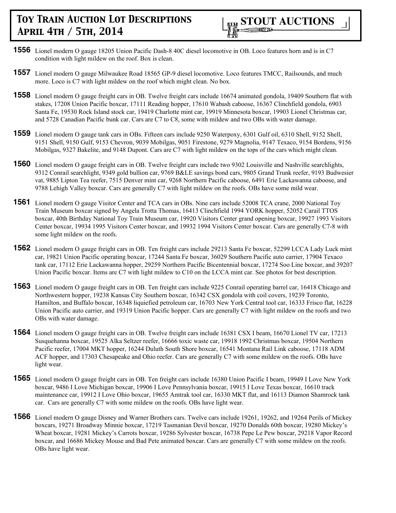

- **1556** Lionel modern O gauge 18205 Union Pacific Dash-8 40C diesel locomotive in OB. Loco features horn and is in C7 condition with light mildew on the roof. Box is clean.
- **1557** Lionel modern O gauge Milwaukee Road 18565 GP-9 diesel locomotive. Loco features TMCC, Railsounds, and much more. Loco is C7 with light mildew on the roof which might clean. No box.
- **1558** Lionel modern O gauge freight cars in OB. Twelve freight cars include 16674 animated gondola, 19409 Southern flat with stakes, 17208 Union Pacific boxcar, 17111 Reading hopper, 17610 Wabash caboose, 16367 Clinchfield gondola, 6903 Santa Fe, 19530 Rock Island stock car, 19419 Charlotte mint car, 19919 Minnesota boxcar, 19903 Lionel Christmas car, and 5728 Canadian Pacific bunk car. Cars are C7 to C8, some with mildew and two OBs with water damage.
- **1559** Lionel modern O gauge tank cars in OBs. Fifteen cars include 9250 Waterpoxy, 6301 Gulf oil, 6310 Shell, 9152 Shell, 9151 Shell, 9150 Gulf, 9153 Chevron, 9039 Mobilgas, 9051 Firestone, 9279 Magnolia, 9147 Texaco, 9154 Bordens, 9156 Mobilgas, 9327 Bakelite, and 9148 Dupont. Cars are C7 with light mildew on the tops of the cars which might clean.
- **1560** Lionel modern O gauge freight cars in OB. Twelve freight cars include two 9302 Louisville and Nashville searchlights, 9312 Conrail searchlight, 9349 gold bullion car, 9769 B&LE savings bond cars, 9805 Grand Trunk reefer, 9193 Budwesier vat, 9885 Lipton Tea reefer, 7515 Denver mint car, 9268 Northern Pacific caboose, 6491 Erie Lackawanna caboose, and 9788 Lehigh Valley boxcar. Cars are generally C7 with light mildew on the roofs. OBs have some mild wear.
- **1561** Lionel modern O gauge Visitor Center and TCA cars in OBs. Nine cars include 52008 TCA crane, 2000 National Toy Train Museum boxcar signed by Angela Trotta Thomas, 16413 Clinchfield 1994 YORK hopper, 52052 Carail TTOS boxcar, 40th Birthday National Toy Train Museum car, 19920 Visitors Center grand opening boxcar, 19927 1993 Visitors Center boxcar, 19934 1995 Visitors Center boxcar, and 19932 1994 Visitors Center boxcar. Cars are generally C7-8 with some light mildew on the roofs.
- **1562** Lionel modern O gauge freight cars in OB. Ten freight cars include 29213 Santa Fe boxcar, 52299 LCCA Lady Luck mint car, 19821 Union Pacific operating boxcar, 17244 Santa Fe boxcar, 36029 Southern Pacific auto carrier, 17904 Texaco tank car, 17112 Erie Lackawanna hopper, 29259 Northern Pacific Bicentennial boxcar, 17274 Soo Line boxcar, and 39207 Union Pacific boxcar. Items are C7 with light mildew to C10 on the LCCA mint car. See photos for best description.
- **1563** Lionel modern O gauge freight cars in OB. Ten freight cars include 9225 Conrail operating barrel car, 16418 Chicago and Northwestern hopper, 19238 Kansas City Southern boxcar, 16342 CSX gondola with coil covers, 19239 Toronto, Hamilton, and Buffalo boxcar, 16348 liquiefied petroleum car, 16703 New York Central tool car, 16333 Frisco flat, 16228 Union Pacific auto carrier, and 19319 Union Pacific hopper. Cars are generally C7 with light mildew on the roofs and two OBs with water damage.
- **1564** Lionel modern O gauge freight cars in OB. Twelve freight cars include 16381 CSX I beam, 16670 Lionel TV car, 17213 Susquehanna boxcar, 19525 Alka Seltzer reefer, 16666 toxic waste car, 19918 1992 Christmas boxcar, 19504 Northern Pacific reefer, 17004 MKT hopper, 16244 Duluth South Shore boxcar, 16541 Montana Rail Link caboose, 17118 ADM ACF hopper, and 17303 Chesapeake and Ohio reefer. Cars are generally C7 with some mildew on the roofs. OBs have light wear.
- **1565** Lionel modern O gauge freight cars in OB. Ten freight cars include 16380 Union Pacific I beam, 19949 I Love New York boxcar, 9486 I Love Michigan boxcar, 19906 I Love Pennsylvania boxcar, 19915 I Love Texas boxcar, 16610 track maintenance car, 19912 I Love Ohio boxcar, 19655 Amtrak tool car, 16330 MKT flat, and 16113 Diamon Shamrock tank car. Cars are generally C7 with some mildew on the roofs. OBs have light wear.
- **1566** Lionel modern O gauge Disney and Warner Brothers cars. Twelve cars include 19261, 19262, and 19264 Perils of Mickey boxcars, 19271 Broadway Minnie boxcar, 17219 Tasmanian Devil boxcar, 19270 Donalds 60th boxcar, 19280 Mickey's Wheat boxcar, 19281 Mickey's Carrots boxcar, 19286 Sylvester boxcar, 16738 Pepe Le Pew boxcar, 29218 Vapor Record boxcar, and 16686 Mickey Mouse and Bad Pete animated boxcar. Cars are generally C7 with some mildew on the roofs. OBs have light wear.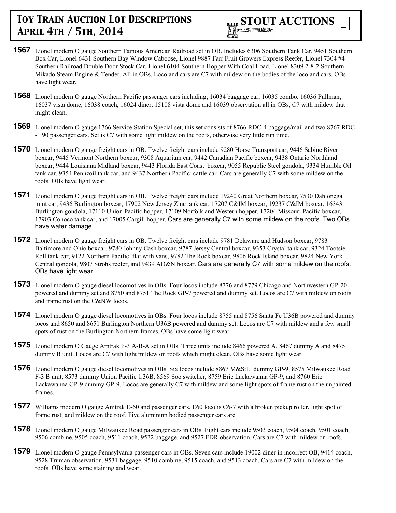

- **1567** Lionel modern O gauge Southern Famous American Railroad set in OB. Includes 6306 Southern Tank Car, 9451 Southern Box Car, Lionel 6431 Southern Bay Window Caboose, Lionel 9887 Farr Fruit Growers Express Reefer, Lionel 7304 #4 Southern Railroad Double Door Stock Car, Lionel 6104 Southern Hopper With Coal Load, Lionel 8309 2-8-2 Southern Mikado Steam Engine & Tender. All in OBs. Loco and cars are C7 with mildew on the bodies of the loco and cars. OBs have light wear.
- **1568** Lionel modern O gauge Northern Pacific passenger cars including; 16034 baggage car, 16035 combo, 16036 Pullman, 16037 vista dome, 16038 coach, 16024 diner, 15108 vista dome and 16039 observation all in OBs, C7 with mildew that might clean.
- **1569** Lionel modern O gauge 1766 Service Station Special set, this set consists of 8766 RDC-4 baggage/mail and two 8767 RDC -1 90 passenger cars. Set is C7 with some light mildew on the roofs, otherwise very little run time.
- **1570** Lionel modern O gauge freight cars in OB. Twelve freight cars include 9280 Horse Transport car, 9446 Sabine River boxcar, 9445 Vermont Northern boxcar, 9308 Aquarium car, 9442 Canadian Pacific boxcar, 9438 Ontario Northland boxcar, 9444 Louisiana Midland boxcar, 9443 Florida East Coast boxcar, 9055 Republic Steel gondola, 9334 Humble Oil tank car, 9354 Pennzoil tank car, and 9437 Northern Pacific cattle car. Cars are generally C7 with some mildew on the roofs. OBs have light wear.
- **1571** Lionel modern O gauge freight cars in OB. Twelve freight cars include 19240 Great Northern boxcar, 7530 Dahlonega mint car, 9436 Burlington boxcar, 17902 New Jersey Zinc tank car, 17207 C&IM boxcar, 19237 C&IM boxcar, 16343 Burlington gondola, 17110 Union Pacific hopper, 17109 Norfolk and Western hopper, 17204 Missouri Pacific boxcar, 17903 Conoco tank car, and 17005 Cargill hopper. Cars are generally C7 with some mildew on the roofs. Two OBs have water damage.
- **1572** Lionel modern O gauge freight cars in OB. Twelve freight cars include 9781 Delaware and Hudson boxcar, 9783 Baltimore and Ohio boxcar, 9780 Johnny Cash boxcar, 9787 Jersey Central boxcar, 9353 Crystal tank car, 9324 Tootsie Roll tank car, 9122 Northern Pacific flat with vans, 9782 The Rock boxcar, 9806 Rock Island boxcar, 9824 New York Central gondola, 9807 Strohs reefer, and 9439 AD&N boxcar. Cars are generally C7 with some mildew on the roofs. OBs have light wear.
- **1573** Lionel modern O gauge diesel locomotives in OBs. Four locos include 8776 and 8779 Chicago and Northwestern GP-20 powered and dummy set and 8750 and 8751 The Rock GP-7 powered and dummy set. Locos are C7 with mildew on roofs and frame rust on the C&NW locos.
- **1574** Lionel modern O gauge diesel locomotives in OBs. Four locos include 8755 and 8756 Santa Fe U36B powered and dummy locos and 8650 and 8651 Burlington Northern U36B powered and dummy set. Locos are C7 with mildew and a few small spots of rust on the Burlington Northern frames. OBs have some light wear.
- **1575** Lionel modern O Gauge Amtrak F-3 A-B-A set in OBs. Three units include 8466 powered A, 8467 dummy A and 8475 dummy B unit. Locos are C7 with light mildew on roofs which might clean. OBs have some light wear.
- **1576** Lionel modern O gauge diesel locomotives in OBs. Six locos include 8867 M&StL. dummy GP-9, 8575 Milwaukee Road F-3 B unit, 8573 dummy Union Pacific U36B, 8569 Soo switcher, 8759 Erie Lackawanna GP-9, and 8760 Erie Lackawanna GP-9 dummy GP-9. Locos are generally C7 with mildew and some light spots of frame rust on the unpainted frames.
- **1577** Williams modern O gauge Amtrak E-60 and passenger cars. E60 loco is C6-7 with a broken pickup roller, light spot of frame rust, and mildew on the roof. Five aluminum bodied passenger cars are
- **1578** Lionel modern O gauge Milwaukee Road passenger cars in OBs. Eight cars include 9503 coach, 9504 coach, 9501 coach, 9506 combine, 9505 coach, 9511 coach, 9522 baggage, and 9527 FDR observation. Cars are C7 with mildew on roofs.
- **1579** Lionel modern O gauge Pennsylvania passenger cars in OBs. Seven cars include 19002 diner in incorrect OB, 9414 coach, 9528 Truman observation, 9531 baggage, 9510 combine, 9515 coach, and 9513 coach. Cars are C7 with mildew on the roofs. OBs have some staining and wear.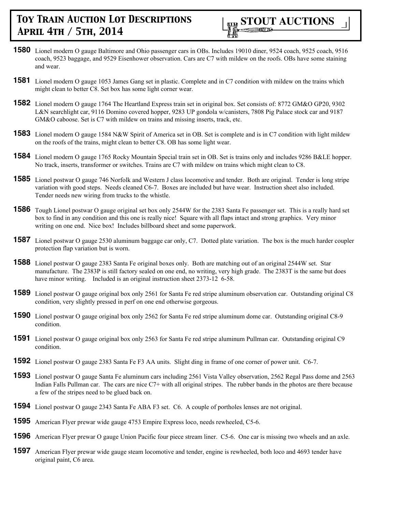

- **1580** Lionel modern O gauge Baltimore and Ohio passenger cars in OBs. Includes 19010 diner, 9524 coach, 9525 coach, 9516 coach, 9523 baggage, and 9529 Eisenhower observation. Cars are C7 with mildew on the roofs. OBs have some staining and wear.
- **1581** Lionel modern O gauge 1053 James Gang set in plastic. Complete and in C7 condition with mildew on the trains which might clean to better C8. Set box has some light corner wear.
- **1582** Lionel modern O gauge 1764 The Heartland Express train set in original box. Set consists of: 8772 GM&O GP20, 9302 L&N searchlight car, 9116 Domino covered hopper, 9283 UP gondola w/canisters, 7808 Pig Palace stock car and 9187 GM&O caboose. Set is C7 with mildew on trains and missing inserts, track, etc.
- **1583** Lionel modern O gauge 1584 N&W Spirit of America set in OB. Set is complete and is in C7 condition with light mildew on the roofs of the trains, might clean to better C8. OB has some light wear.
- **1584** Lionel modern O gauge 1765 Rocky Mountain Special train set in OB. Set is trains only and includes 9286 B&LE hopper. No track, inserts, transformer or switches. Trains are C7 with mildew on trains which might clean to C8.
- **1585** Lionel postwar O gauge 746 Norfolk and Western J class locomotive and tender. Both are original. Tender is long stripe variation with good steps. Needs cleaned C6-7. Boxes are included but have wear. Instruction sheet also included. Tender needs new wiring from trucks to the whistle.
- **1586** Tough Lionel postwar O gauge original set box only 2544W for the 2383 Santa Fe passenger set. This is a really hard set box to find in any condition and this one is really nice! Square with all flaps intact and strong graphics. Very minor writing on one end. Nice box! Includes billboard sheet and some paperwork.
- **1587** Lionel postwar O gauge 2530 aluminum baggage car only, C7. Dotted plate variation. The box is the much harder coupler protection flap variation but is worn.
- **1588** Lionel postwar O gauge 2383 Santa Fe original boxes only. Both are matching out of an original 2544W set. Star manufacture. The 2383P is still factory sealed on one end, no writing, very high grade. The 2383T is the same but does have minor writing. Included is an original instruction sheet 2373-12 6-58.
- **1589** Lionel postwar O gauge original box only 2561 for Santa Fe red stripe aluminum observation car. Outstanding original C8 condition, very slightly pressed in perf on one end otherwise gorgeous.
- **1590** Lionel postwar O gauge original box only 2562 for Santa Fe red stripe aluminum dome car. Outstanding original C8-9 condition.
- **1591** Lionel postwar O gauge original box only 2563 for Santa Fe red stripe aluminum Pullman car. Outstanding original C9 condition.
- **1592** Lionel postwar O gauge 2383 Santa Fe F3 AA units. Slight ding in frame of one corner of power unit. C6-7.
- **1593** Lionel postwar O gauge Santa Fe aluminum cars including 2561 Vista Valley observation, 2562 Regal Pass dome and 2563 Indian Falls Pullman car. The cars are nice C7+ with all original stripes. The rubber bands in the photos are there because a few of the stripes need to be glued back on.
- **1594** Lionel postwar O gauge 2343 Santa Fe ABA F3 set. C6. A couple of portholes lenses are not original.
- **1595** American Flyer prewar wide gauge 4753 Empire Express loco, needs rewheeled, C5-6.
- **1596** American Flyer prewar O gauge Union Pacific four piece stream liner. C5-6. One car is missing two wheels and an axle.
- **1597** American Flyer prewar wide gauge steam locomotive and tender, engine is rewheeled, both loco and 4693 tender have original paint, C6 area.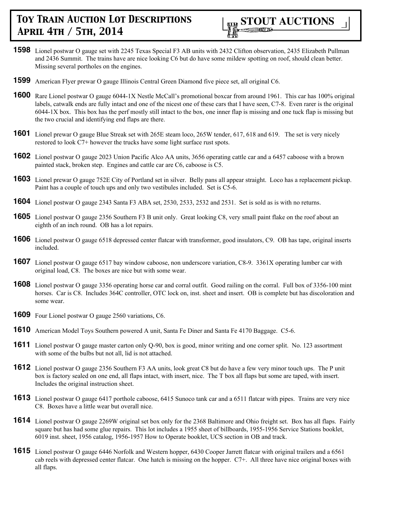

- **1598** Lionel postwar O gauge set with 2245 Texas Special F3 AB units with 2432 Clifton observation, 2435 Elizabeth Pullman and 2436 Summit. The trains have are nice looking C6 but do have some mildew spotting on roof, should clean better. Missing several portholes on the engines.
- **1599** American Flyer prewar O gauge Illinois Central Green Diamond five piece set, all original C6.
- **1600** Rare Lionel postwar O gauge 6044-1X Nestle McCall's promotional boxcar from around 1961. This car has 100% original labels, catwalk ends are fully intact and one of the nicest one of these cars that I have seen, C7-8. Even rarer is the original 6044-1X box. This box has the perf mostly still intact to the box, one inner flap is missing and one tuck flap is missing but the two crucial and identifying end flaps are there.
- **1601** Lionel prewar O gauge Blue Streak set with 265E steam loco, 265W tender, 617, 618 and 619. The set is very nicely restored to look C7+ however the trucks have some light surface rust spots.
- **1602** Lionel postwar O gauge 2023 Union Pacific Alco AA units, 3656 operating cattle car and a 6457 caboose with a brown painted stack, broken step. Engines and cattle car are C6, caboose is C5.
- **1603** Lionel prewar O gauge 752E City of Portland set in silver. Belly pans all appear straight. Loco has a replacement pickup. Paint has a couple of touch ups and only two vestibules included. Set is C5-6.
- **1604** Lionel postwar O gauge 2343 Santa F3 ABA set, 2530, 2533, 2532 and 2531. Set is sold as is with no returns.
- **1605** Lionel postwar O gauge 2356 Southern F3 B unit only. Great looking C8, very small paint flake on the roof about an eighth of an inch round. OB has a lot repairs.
- **1606** Lionel postwar O gauge 6518 depressed center flatcar with transformer, good insulators, C9. OB has tape, original inserts included.
- **1607** Lionel postwar O gauge 6517 bay window caboose, non underscore variation, C8-9. 3361X operating lumber car with original load, C8. The boxes are nice but with some wear.
- **1608** Lionel postwar O gauge 3356 operating horse car and corral outfit. Good railing on the corral. Full box of 3356-100 mint horses. Car is C8. Includes 364C controller, OTC lock on, inst. sheet and insert. OB is complete but has discoloration and some wear.
- **1609** Four Lionel postwar O gauge 2560 variations, C6.
- **1610** American Model Toys Southern powered A unit, Santa Fe Diner and Santa Fe 4170 Baggage. C5-6.
- **1611** Lionel postwar O gauge master carton only Q-90, box is good, minor writing and one corner split. No. 123 assortment with some of the bulbs but not all, lid is not attached.
- **1612** Lionel postwar O gauge 2356 Southern F3 AA units, look great C8 but do have a few very minor touch ups. The P unit box is factory sealed on one end, all flaps intact, with insert, nice. The T box all flaps but some are taped, with insert. Includes the original instruction sheet.
- **1613** Lionel postwar O gauge 6417 porthole caboose, 6415 Sunoco tank car and a 6511 flatcar with pipes. Trains are very nice C8. Boxes have a little wear but overall nice.
- **1614** Lionel postwar O gauge 2269W original set box only for the 2368 Baltimore and Ohio freight set. Box has all flaps. Fairly square but has had some glue repairs. This lot includes a 1955 sheet of billboards, 1955-1956 Service Stations booklet, 6019 inst. sheet, 1956 catalog, 1956-1957 How to Operate booklet, UCS section in OB and track.
- **1615** Lionel postwar O gauge 6446 Norfolk and Western hopper, 6430 Cooper Jarrett flatcar with original trailers and a 6561 cab reels with depressed center flatcar. One hatch is missing on the hopper. C7+. All three have nice original boxes with all flaps.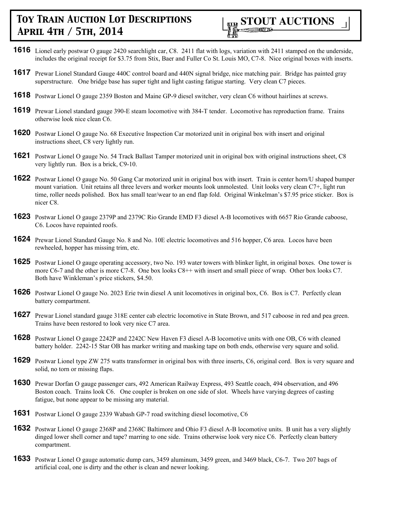

- **1616** Lionel early postwar O gauge 2420 searchlight car, C8. 2411 flat with logs, variation with 2411 stamped on the underside, includes the original receipt for \$3.75 from Stix, Baer and Fuller Co St. Louis MO, C7-8. Nice original boxes with inserts.
- **1617** Prewar Lionel Standard Gauge 440C control board and 440N signal bridge, nice matching pair. Bridge has painted gray superstructure. One bridge base has super tight and light casting fatigue starting. Very clean C7 pieces.
- **1618** Postwar Lionel O gauge 2359 Boston and Maine GP-9 diesel switcher, very clean C6 without hairlines at screws.
- **1619** Prewar Lionel standard gauge 390-E steam locomotive with 384-T tender. Locomotive has reproduction frame. Trains otherwise look nice clean C6.
- **1620** Postwar Lionel O gauge No. 68 Executive Inspection Car motorized unit in original box with insert and original instructions sheet, C8 very lightly run.
- **1621** Postwar Lionel O gauge No. 54 Track Ballast Tamper motorized unit in original box with original instructions sheet, C8 very lightly run. Box is a brick, C9-10.
- **1622** Postwar Lionel O gauge No. 50 Gang Car motorized unit in original box with insert. Train is center horn/U shaped bumper mount variation. Unit retains all three levers and worker mounts look unmolested. Unit looks very clean C7+, light run time, roller needs polished. Box has small tear/wear to an end flap fold. Original Winkelman's \$7.95 price sticker. Box is nicer C8.
- **1623** Postwar Lionel O gauge 2379P and 2379C Rio Grande EMD F3 diesel A-B locomotives with 6657 Rio Grande caboose, C6. Locos have repainted roofs.
- **1624** Prewar Lionel Standard Gauge No. 8 and No. 10E electric locomotives and 516 hopper, C6 area. Locos have been rewheeled, hopper has missing trim, etc.
- **1625** Postwar Lionel O gauge operating accessory, two No. 193 water towers with blinker light, in original boxes. One tower is more C6-7 and the other is more C7-8. One box looks C8++ with insert and small piece of wrap. Other box looks C7. Both have Winkleman's price stickers, \$4.50.
- **1626** Postwar Lionel O gauge No. 2023 Erie twin diesel A unit locomotives in original box, C6. Box is C7. Perfectly clean battery compartment.
- **1627** Prewar Lionel standard gauge 318E center cab electric locomotive in State Brown, and 517 caboose in red and pea green. Trains have been restored to look very nice C7 area.
- **1628** Postwar Lionel O gauge 2242P and 2242C New Haven F3 diesel A-B locomotive units with one OB, C6 with cleaned battery holder. 2242-15 Star OB has marker writing and masking tape on both ends, otherwise very square and solid.
- **1629** Postwar Lionel type ZW 275 watts transformer in original box with three inserts, C6, original cord. Box is very square and solid, no torn or missing flaps.
- **1630** Prewar Dorfan O gauge passenger cars, 492 American Railway Express, 493 Seattle coach, 494 observation, and 496 Boston coach. Trains look C6. One coupler is broken on one side of slot. Wheels have varying degrees of casting fatigue, but none appear to be missing any material.
- **1631** Postwar Lionel O gauge 2339 Wabash GP-7 road switching diesel locomotive, C6
- **1632** Postwar Lionel O gauge 2368P and 2368C Baltimore and Ohio F3 diesel A-B locomotive units. B unit has a very slightly dinged lower shell corner and tape? marring to one side. Trains otherwise look very nice C6. Perfectly clean battery compartment.
- **1633** Postwar Lionel O gauge automatic dump cars, 3459 aluminum, 3459 green, and 3469 black, C6-7. Two 207 bags of artificial coal, one is dirty and the other is clean and newer looking.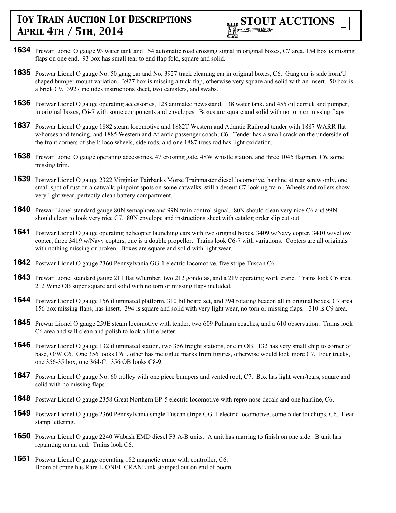

- **1634** Prewar Lionel O gauge 93 water tank and 154 automatic road crossing signal in original boxes, C7 area. 154 box is missing flaps on one end. 93 box has small tear to end flap fold, square and solid.
- **1635** Postwar Lionel O gauge No. 50 gang car and No. 3927 track cleaning car in original boxes, C6. Gang car is side horn/U shaped bumper mount variation. 3927 box is missing a tuck flap, otherwise very square and solid with an insert. 50 box is a brick C9. 3927 includes instructions sheet, two canisters, and swabs.
- **1636** Postwar Lionel O gauge operating accessories, 128 animated newsstand, 138 water tank, and 455 oil derrick and pumper, in original boxes, C6-7 with some components and envelopes. Boxes are square and solid with no torn or missing flaps.
- **1637** Postwar Lionel O gauge 1882 steam locomotive and 1882T Western and Atlantic Railroad tender with 1887 WARR flat w/horses and fencing, and 1885 Western and Atlantic passenger coach, C6. Tender has a small crack on the underside of the front corners of shell; loco wheels, side rods, and one 1887 truss rod has light oxidation.
- **1638** Prewar Lionel O gauge operating accessories, 47 crossing gate, 48W whistle station, and three 1045 flagman, C6, some missing trim.
- **1639** Postwar Lionel O gauge 2322 Virginian Fairbanks Morse Trainmaster diesel locomotive, hairline at rear screw only, one small spot of rust on a catwalk, pinpoint spots on some catwalks, still a decent C7 looking train. Wheels and rollers show very light wear, perfectly clean battery compartment.
- **1640** Prewar Lionel standard gauge 80N semaphore and 99N train control signal. 80N should clean very nice C6 and 99N should clean to look very nice C7. 80N envelope and instructions sheet with catalog order slip cut out.
- **1641** Postwar Lionel O gauge operating helicopter launching cars with two original boxes, 3409 w/Navy copter, 3410 w/yellow copter, three 3419 w/Navy copters, one is a double propellor. Trains look C6-7 with variations. Copters are all originals with nothing missing or broken. Boxes are square and solid with light wear.
- **1642** Postwar Lionel O gauge 2360 Pennsylvania GG-1 electric locomotive, five stripe Tuscan C6.
- **1643** Prewar Lionel standard gauge 211 flat w/lumber, two 212 gondolas, and a 219 operating work crane. Trains look C6 area. 212 Wine OB super square and solid with no torn or missing flaps included.
- **1644** Postwar Lionel O gauge 156 illuminated platform, 310 billboard set, and 394 rotating beacon all in original boxes, C7 area. 156 box missing flaps, has insert. 394 is square and solid with very light wear, no torn or missing flaps. 310 is C9 area.
- **1645** Prewar Lionel O gauge 259E steam locomotive with tender, two 609 Pullman coaches, and a 610 observation. Trains look C6 area and will clean and polish to look a little better.
- **1646** Postwar Lionel O gauge 132 illuminated station, two 356 freight stations, one in OB. 132 has very small chip to corner of base, O/W C6. One 356 looks C6+, other has melt/glue marks from figures, otherwise would look more C7. Four trucks, one 356-35 box, one 364-C. 356 OB looks C8-9.
- **1647** Postwar Lionel O gauge No. 60 trolley with one piece bumpers and vented roof, C7. Box has light wear/tears, square and solid with no missing flaps.
- **1648** Postwar Lionel O gauge 2358 Great Northern EP-5 electric locomotive with repro nose decals and one hairline, C6.
- **1649** Postwar Lionel O gauge 2360 Pennsylvania single Tuscan stripe GG-1 electric locomotive, some older touchups, C6. Heat stamp lettering.
- **1650** Postwar Lionel O gauge 2240 Wabash EMD diesel F3 A-B units. A unit has marring to finish on one side. B unit has repainting on an end. Trains look C6.
- **1651** Postwar Lionel O gauge operating 182 magnetic crane with controller, C6. Boom of crane has Rare LIONEL CRANE ink stamped out on end of boom.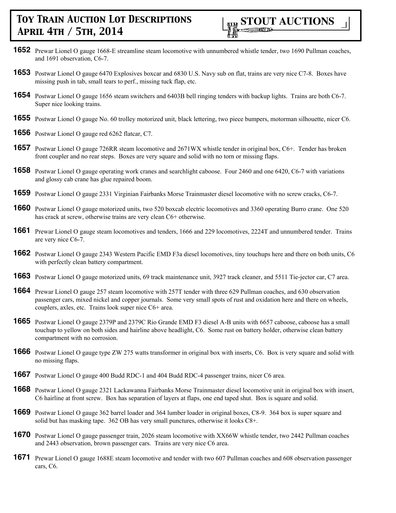

- **1652** Prewar Lionel O gauge 1668-E streamline steam locomotive with unnumbered whistle tender, two 1690 Pullman coaches, and 1691 observation, C6-7.
- **1653** Postwar Lionel O gauge 6470 Explosives boxcar and 6830 U.S. Navy sub on flat, trains are very nice C7-8. Boxes have missing push in tab, small tears to perf., missing tuck flap, etc.
- **1654** Postwar Lionel O gauge 1656 steam switchers and 6403B bell ringing tenders with backup lights. Trains are both C6-7. Super nice looking trains.
- **1655** Postwar Lionel O gauge No. 60 trolley motorized unit, black lettering, two piece bumpers, motorman silhouette, nicer C6.
- **1656** Postwar Lionel O gauge red 6262 flatcar, C7.
- **1657** Postwar Lionel O gauge 726RR steam locomotive and 2671WX whistle tender in original box, C6+. Tender has broken front coupler and no rear steps. Boxes are very square and solid with no torn or missing flaps.
- **1658** Postwar Lionel O gauge operating work cranes and searchlight caboose. Four 2460 and one 6420, C6-7 with variations and glossy cab crane has glue repaired boom.
- **1659** Postwar Lionel O gauge 2331 Virginian Fairbanks Morse Trainmaster diesel locomotive with no screw cracks, C6-7.
- **1660** Postwar Lionel O gauge motorized units, two 520 boxcab electric locomotives and 3360 operating Burro crane. One 520 has crack at screw, otherwise trains are very clean C6+ otherwise.
- **1661** Prewar Lionel O gauge steam locomotives and tenders, 1666 and 229 locomotives, 2224T and unnumbered tender. Trains are very nice C6-7.
- **1662** Postwar Lionel O gauge 2343 Western Pacific EMD F3a diesel locomotives, tiny touchups here and there on both units, C6 with perfectly clean battery compartment.
- **1663** Postwar Lionel O gauge motorized units, 69 track maintenance unit, 3927 track cleaner, and 5511 Tie-jector car, C7 area.
- **1664** Prewar Lionel O gauge 257 steam locomotive with 257T tender with three 629 Pullman coaches, and 630 observation passenger cars, mixed nickel and copper journals. Some very small spots of rust and oxidation here and there on wheels, couplers, axles, etc. Trains look super nice C6+ area.
- **1665** Postwar Lionel O gauge 2379P and 2379C Rio Grande EMD F3 diesel A-B units with 6657 caboose, caboose has a small touchup to yellow on both sides and hairline above headlight, C6. Some rust on battery holder, otherwise clean battery compartment with no corrosion.
- **1666** Postwar Lionel O gauge type ZW 275 watts transformer in original box with inserts, C6. Box is very square and solid with no missing flaps.
- **1667** Postwar Lionel O gauge 400 Budd RDC-1 and 404 Budd RDC-4 passenger trains, nicer C6 area.
- **1668** Postwar Lionel O gauge 2321 Lackawanna Fairbanks Morse Trainmaster diesel locomotive unit in original box with insert, C6 hairline at front screw. Box has separation of layers at flaps, one end taped shut. Box is square and solid.
- **1669** Postwar Lionel O gauge 362 barrel loader and 364 lumber loader in original boxes, C8-9. 364 box is super square and solid but has masking tape. 362 OB has very small punctures, otherwise it looks C8+.
- **1670** Postwar Lionel O gauge passenger train, 2026 steam locomotive with XX66W whistle tender, two 2442 Pullman coaches and 2443 observation, brown passenger cars. Trains are very nice C6 area.
- **1671** Prewar Lionel O gauge 1688E steam locomotive and tender with two 607 Pullman coaches and 608 observation passenger cars, C6.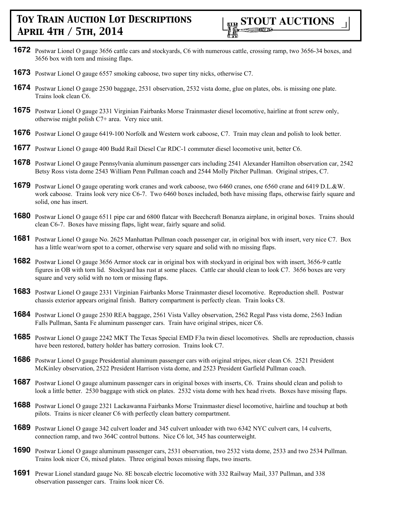- **1672** Postwar Lionel O gauge 3656 cattle cars and stockyards, C6 with numerous cattle, crossing ramp, two 3656-34 boxes, and 3656 box with torn and missing flaps.
- **1673** Postwar Lionel O gauge 6557 smoking caboose, two super tiny nicks, otherwise C7.
- **1674** Postwar Lionel O gauge 2530 baggage, 2531 observation, 2532 vista dome, glue on plates, obs. is missing one plate. Trains look clean C6.
- **1675** Postwar Lionel O gauge 2331 Virginian Fairbanks Morse Trainmaster diesel locomotive, hairline at front screw only, otherwise might polish C7+ area. Very nice unit.
- **1676** Postwar Lionel O gauge 6419-100 Norfolk and Western work caboose, C7. Train may clean and polish to look better.
- **1677** Postwar Lionel O gauge 400 Budd Rail Diesel Car RDC-1 commuter diesel locomotive unit, better C6.
- **1678** Postwar Lionel O gauge Pennsylvania aluminum passenger cars including 2541 Alexander Hamilton observation car, 2542 Betsy Ross vista dome 2543 William Penn Pullman coach and 2544 Molly Pitcher Pullman. Original stripes, C7.
- **1679** Postwar Lionel O gauge operating work cranes and work caboose, two 6460 cranes, one 6560 crane and 6419 D.L.&W. work caboose. Trains look very nice C6-7. Two 6460 boxes included, both have missing flaps, otherwise fairly square and solid, one has insert.
- **1680** Postwar Lionel O gauge 6511 pipe car and 6800 flatcar with Beechcraft Bonanza airplane, in original boxes. Trains should clean C6-7. Boxes have missing flaps, light wear, fairly square and solid.
- **1681** Postwar Lionel O gauge No. 2625 Manhattan Pullman coach passenger car, in original box with insert, very nice C7. Box has a little wear/worn spot to a corner, otherwise very square and solid with no missing flaps.
- **1682** Postwar Lionel O gauge 3656 Armor stock car in original box with stockyard in original box with insert, 3656-9 cattle figures in OB with torn lid. Stockyard has rust at some places. Cattle car should clean to look C7. 3656 boxes are very square and very solid with no torn or missing flaps.
- **1683** Postwar Lionel O gauge 2331 Virginian Fairbanks Morse Trainmaster diesel locomotive. Reproduction shell. Postwar chassis exterior appears original finish. Battery compartment is perfectly clean. Train looks C8.
- **1684** Postwar Lionel O gauge 2530 REA baggage, 2561 Vista Valley observation, 2562 Regal Pass vista dome, 2563 Indian Falls Pullman, Santa Fe aluminum passenger cars. Train have original stripes, nicer C6.
- **1685** Postwar Lionel O gauge 2242 MKT The Texas Special EMD F3a twin diesel locomotives. Shells are reproduction, chassis have been restored, battery holder has battery corrosion. Trains look C7.
- **1686** Postwar Lionel O gauge Presidential aluminum passenger cars with original stripes, nicer clean C6. 2521 President McKinley observation, 2522 President Harrison vista dome, and 2523 President Garfield Pullman coach.
- **1687** Postwar Lionel O gauge aluminum passenger cars in original boxes with inserts, C6. Trains should clean and polish to look a little better. 2530 baggage with stick on plates. 2532 vista dome with hex head rivets. Boxes have missing flaps.
- **1688** Postwar Lionel O gauge 2321 Lackawanna Fairbanks Morse Trainmaster diesel locomotive, hairline and touchup at both pilots. Trains is nicer cleaner C6 with perfectly clean battery compartment.
- **1689** Postwar Lionel O gauge 342 culvert loader and 345 culvert unloader with two 6342 NYC culvert cars, 14 culverts, connection ramp, and two 364C control buttons. Nice C6 lot, 345 has counterweight.
- **1690** Postwar Lionel O gauge aluminum passenger cars, 2531 observation, two 2532 vista dome, 2533 and two 2534 Pullman. Trains look nicer C6, mixed plates. Three original boxes missing flaps, two inserts.
- **1691** Prewar Lionel standard gauge No. 8E boxcab electric locomotive with 332 Railway Mail, 337 Pullman, and 338 observation passenger cars. Trains look nicer C6.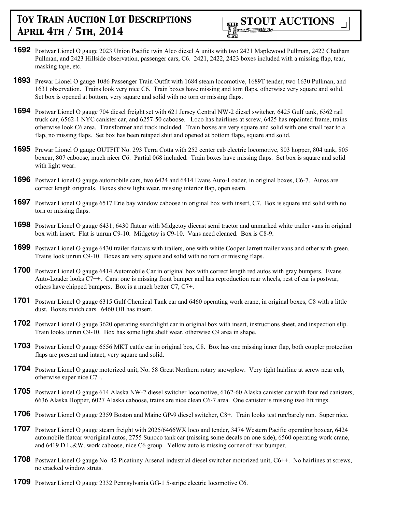

- **1692** Postwar Lionel O gauge 2023 Union Pacific twin Alco diesel A units with two 2421 Maplewood Pullman, 2422 Chatham Pullman, and 2423 Hillside observation, passenger cars, C6. 2421, 2422, 2423 boxes included with a missing flap, tear, masking tape, etc.
- **1693** Prewar Lionel O gauge 1086 Passenger Train Outfit with 1684 steam locomotive, 1689T tender, two 1630 Pullman, and 1631 observation. Trains look very nice C6. Train boxes have missing and torn flaps, otherwise very square and solid. Set box is opened at bottom, very square and solid with no torn or missing flaps.
- **1694** Postwar Lionel O gauge 704 diesel freight set with 621 Jersey Central NW-2 diesel switcher, 6425 Gulf tank, 6362 rail truck car, 6562-1 NYC canister car, and 6257-50 caboose. Loco has hairlines at screw, 6425 has repainted frame, trains otherwise look C6 area. Transformer and track included. Train boxes are very square and solid with one small tear to a flap, no missing flaps. Set box has been retaped shut and opened at bottom flaps, square and solid.
- **1695** Prewar Lionel O gauge OUTFIT No. 293 Terra Cotta with 252 center cab electric locomotive, 803 hopper, 804 tank, 805 boxcar, 807 caboose, much nicer C6. Partial 068 included. Train boxes have missing flaps. Set box is square and solid with light wear.
- **1696** Postwar Lionel O gauge automobile cars, two 6424 and 6414 Evans Auto-Loader, in original boxes, C6-7. Autos are correct length originals. Boxes show light wear, missing interior flap, open seam.
- **1697** Postwar Lionel O gauge 6517 Erie bay window caboose in original box with insert, C7. Box is square and solid with no torn or missing flaps.
- **1698** Postwar Lionel O gauge 6431; 6430 flatcar with Midgetoy diecast semi tractor and unmarked white trailer vans in original box with insert. Flat is unrun C9-10. Midgetoy is C9-10. Vans need cleaned. Box is C8-9.
- **1699** Postwar Lionel O gauge 6430 trailer flatcars with trailers, one with white Cooper Jarrett trailer vans and other with green. Trains look unrun C9-10. Boxes are very square and solid with no torn or missing flaps.
- **1700** Postwar Lionel O gauge 6414 Automobile Car in original box with correct length red autos with gray bumpers. Evans Auto-Loader looks C7++. Cars: one is missing front bumper and has reproduction rear wheels, rest of car is postwar, others have chipped bumpers. Box is a much better C7, C7+.
- **1701** Postwar Lionel O gauge 6315 Gulf Chemical Tank car and 6460 operating work crane, in original boxes, C8 with a little dust. Boxes match cars. 6460 OB has insert.
- **1702** Postwar Lionel O gauge 3620 operating searchlight car in original box with insert, instructions sheet, and inspection slip. Train looks unrun C9-10. Box has some light shelf wear, otherwise C9 area in shape.
- **1703** Postwar Lionel O gauge 6556 MKT cattle car in original box, C8. Box has one missing inner flap, both coupler protection flaps are present and intact, very square and solid.
- **1704** Postwar Lionel O gauge motorized unit, No. 58 Great Northern rotary snowplow. Very tight hairline at screw near cab, otherwise super nice C7+.
- **1705** Postwar Lionel O gauge 614 Alaska NW-2 diesel switcher locomotive, 6162-60 Alaska canister car with four red canisters, 6636 Alaska Hopper, 6027 Alaska caboose, trains are nice clean C6-7 area. One canister is missing two lift rings.
- **1706** Postwar Lionel O gauge 2359 Boston and Maine GP-9 diesel switcher, C8+. Train looks test run/barely run. Super nice.
- **1707** Postwar Lionel O gauge steam freight with 2025/6466WX loco and tender, 3474 Western Pacific operating boxcar, 6424 automobile flatcar w/original autos, 2755 Sunoco tank car (missing some decals on one side), 6560 operating work crane, and 6419 D.L.&W. work caboose, nice C6 group. Yellow auto is missing corner of rear bumper.
- **1708** Postwar Lionel O gauge No. 42 Picatinny Arsenal industrial diesel switcher motorized unit, C6++. No hairlines at screws, no cracked window struts.
- **1709** Postwar Lionel O gauge 2332 Pennsylvania GG-1 5-stripe electric locomotive C6.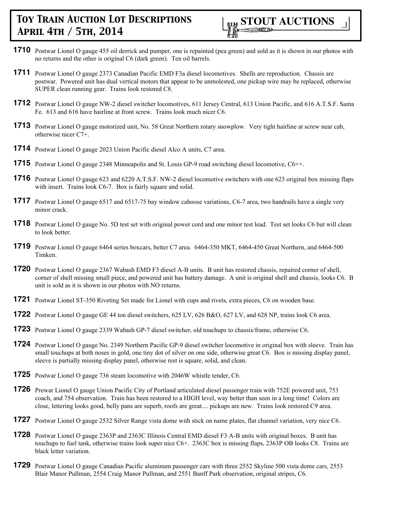

- **1710** Postwar Lionel O gauge 455 oil derrick and pumper, one is repainted (pea green) and sold as it is shown in our photos with no returns and the other is original C6 (dark green). Ten oil barrels.
- **1711** Postwar Lionel O gauge 2373 Canadian Pacific EMD F3a diesel locomotives. Shells are reproduction. Chassis are postwar. Powered unit has dual vertical motors that appear to be unmolested, one pickup wire may be replaced, otherwise SUPER clean running gear. Trains look restored C8.
- **1712** Postwar Lionel O gauge NW-2 diesel switcher locomotives, 611 Jersey Central, 613 Union Pacific, and 616 A.T.S.F. Santa Fe. 613 and 616 have hairline at front screw. Trains look much nicer C6.
- **1713** Postwar Lionel O gauge motorized unit, No. 58 Great Northern rotary snowplow. Very tight hairline at screw near cab, otherwise nicer C7+.
- **1714** Postwar Lionel O gauge 2023 Union Pacific diesel Alco A units, C7 area.
- **1715** Postwar Lionel O gauge 2348 Minneapolis and St. Louis GP-9 road switching diesel locomotive, C6++.
- **1716** Postwar Lionel O gauge 623 and 6220 A.T.S.F. NW-2 diesel locomotive switchers with one 623 original box missing flaps with insert. Trains look C6-7. Box is fairly square and solid.
- **1717** Postwar Lionel O gauge 6517 and 6517-75 bay window caboose variations, C6-7 area, two handrails have a single very minor crack.
- **1718** Postwar Lionel O gauge No. 5D test set with original power cord and one minor test lead. Test set looks C6 but will clean to look better.
- **1719** Postwar Lionel O gauge 6464 series boxcars, better C7 area. 6464-350 MKT, 6464-450 Great Northern, and 6464-500 Timken.
- **1720** Postwar Lionel O gauge 2367 Wabash EMD F3 diesel A-B units. B unit has restored chassis, repaired corner of shell, corner of shell missing small piece, and powered unit has battery damage. A unit is original shell and chassis, looks C6. B unit is sold as it is shown in our photos with NO returns.
- **1721** Postwar Lionel ST-350 Riveting Set made for Lionel with cups and rivets, extra pieces, C6 on wooden base.
- **1722** Postwar Lionel O gauge GE 44 ton diesel switchers, 625 LV, 626 B&O, 627 LV, and 628 NP, trains look C6 area.
- **1723** Postwar Lionel O gauge 2339 Wabash GP-7 diesel switcher, old touchups to chassis/frame, otherwise C6.
- **1724** Postwar Lionel O gauge No. 2349 Northern Pacific GP-9 diesel switcher locomotive in original box with sleeve. Train has small touchups at both noses in gold, one tiny dot of silver on one side, otherwise great C6. Box is missing display panel, sleeve is partially missing display panel, otherwise rest is square, solid, and clean.
- **1725** Postwar Lionel O gauge 736 steam locomotive with 2046W whistle tender, C6.
- **1726** Prewar Lionel O gauge Union Pacific City of Portland articulated diesel passenger train with 752E powered unit, 753 coach, and 754 observation. Train has been restored to a HIGH level, way better than seen in a long time! Colors are close, lettering looks good, belly pans are superb, roofs are great.... pickups are new. Trains look restored C9 area.
- **1727** Postwar Lionel O gauge 2532 Silver Range vista dome with stick on name plates, flat channel variation, very nice C6.
- **1728** Postwar Lionel O gauge 2363P and 2363C Illinois Central EMD diesel F3 A-B units with original boxes. B unit has touchups to fuel tank, otherwise trains look super nice C6+. 2363C box is missing flaps, 2363P OB looks C8. Trains are black letter variation.
- **1729** Postwar Lionel O gauge Canadian Pacific aluminum passenger cars with three 2552 Skyline 500 vista dome cars, 2553 Blair Manor Pullman, 2554 Craig Manor Pullman, and 2551 Banff Park observation, original stripes, C6.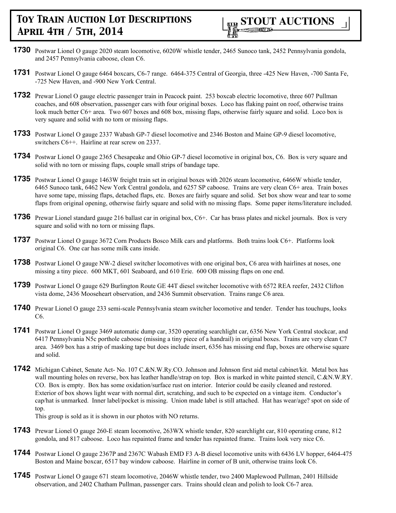

- **1730** Postwar Lionel O gauge 2020 steam locomotive, 6020W whistle tender, 2465 Sunoco tank, 2452 Pennsylvania gondola, and 2457 Pennsylvania caboose, clean C6.
- **1731** Postwar Lionel O gauge 6464 boxcars, C6-7 range. 6464-375 Central of Georgia, three -425 New Haven, -700 Santa Fe, -725 New Haven, and -900 New York Central.
- **1732** Prewar Lionel O gauge electric passenger train in Peacock paint. 253 boxcab electric locomotive, three 607 Pullman coaches, and 608 observation, passenger cars with four original boxes. Loco has flaking paint on roof, otherwise trains look much better C6+ area. Two 607 boxes and 608 box, missing flaps, otherwise fairly square and solid. Loco box is very square and solid with no torn or missing flaps.
- **1733** Postwar Lionel O gauge 2337 Wabash GP-7 diesel locomotive and 2346 Boston and Maine GP-9 diesel locomotive, switchers C6++. Hairline at rear screw on 2337.
- **1734** Postwar Lionel O gauge 2365 Chesapeake and Ohio GP-7 diesel locomotive in original box, C6. Box is very square and solid with no torn or missing flaps, couple small strips of bandage tape.
- **1735** Postwar Lionel O gauge 1463W freight train set in original boxes with 2026 steam locomotive, 6466W whistle tender, 6465 Sunoco tank, 6462 New York Central gondola, and 6257 SP caboose. Trains are very clean C6+ area. Train boxes have some tape, missing flaps, detached flaps, etc. Boxes are fairly square and solid. Set box show wear and tear to some flaps from original opening, otherwise fairly square and solid with no missing flaps. Some paper items/literature included.
- **1736** Prewar Lionel standard gauge 216 ballast car in original box, C6+. Car has brass plates and nickel journals. Box is very square and solid with no torn or missing flaps.
- **1737** Postwar Lionel O gauge 3672 Corn Products Bosco Milk cars and platforms. Both trains look C6+. Platforms look original C6. One car has some milk cans inside.
- **1738** Postwar Lionel O gauge NW-2 diesel switcher locomotives with one original box, C6 area with hairlines at noses, one missing a tiny piece. 600 MKT, 601 Seaboard, and 610 Erie. 600 OB missing flaps on one end.
- **1739** Postwar Lionel O gauge 629 Burlington Route GE 44T diesel switcher locomotive with 6572 REA reefer, 2432 Clifton vista dome, 2436 Mooseheart observation, and 2436 Summit observation. Trains range C6 area.
- **1740** Prewar Lionel O gauge 233 semi-scale Pennsylvania steam switcher locomotive and tender. Tender has touchups, looks C6.
- **1741** Postwar Lionel O gauge 3469 automatic dump car, 3520 operating searchlight car, 6356 New York Central stockcar, and 6417 Pennsylvania N5c porthole caboose (missing a tiny piece of a handrail) in original boxes. Trains are very clean C7 area. 3469 box has a strip of masking tape but does include insert, 6356 has missing end flap, boxes are otherwise square and solid.
- **1742** Michigan Cabinet, Senate Act- No. 107 C.&N.W.Ry.CO. Johnson and Johnson first aid metal cabinet/kit. Metal box has wall mounting holes on reverse, box has leather handle/strap on top. Box is marked in white painted stencil, C.&N.W.RY. CO. Box is empty. Box has some oxidation/surface rust on interior. Interior could be easily cleaned and restored. Exterior of box shows light wear with normal dirt, scratching, and such to be expected on a vintage item. Conductor's cap/hat is unmarked. Inner label/pocket is missing. Union made label is still attached. Hat has wear/age? spot on side of top.

This group is sold as it is shown in our photos with NO returns.

- **1743** Prewar Lionel O gauge 260-E steam locomotive, 263WX whistle tender, 820 searchlight car, 810 operating crane, 812 gondola, and 817 caboose. Loco has repainted frame and tender has repainted frame. Trains look very nice C6.
- **1744** Postwar Lionel O gauge 2367P and 2367C Wabash EMD F3 A-B diesel locomotive units with 6436 LV hopper, 6464-475 Boston and Maine boxcar, 6517 bay window caboose. Hairline in corner of B unit, otherwise trains look C6.
- **1745** Postwar Lionel O gauge 671 steam locomotive, 2046W whistle tender, two 2400 Maplewood Pullman, 2401 Hillside observation, and 2402 Chatham Pullman, passenger cars. Trains should clean and polish to look C6-7 area.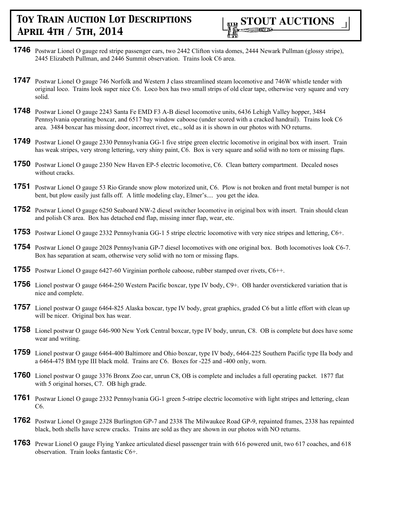

- **1746** Postwar Lionel O gauge red stripe passenger cars, two 2442 Clifton vista domes, 2444 Newark Pullman (glossy stripe), 2445 Elizabeth Pullman, and 2446 Summit observation. Trains look C6 area.
- **1747** Postwar Lionel O gauge 746 Norfolk and Western J class streamlined steam locomotive and 746W whistle tender with original loco. Trains look super nice C6. Loco box has two small strips of old clear tape, otherwise very square and very solid.
- **1748** Postwar Lionel O gauge 2243 Santa Fe EMD F3 A-B diesel locomotive units, 6436 Lehigh Valley hopper, 3484 Pennsylvania operating boxcar, and 6517 bay window caboose (under scored with a cracked handrail). Trains look C6 area. 3484 boxcar has missing door, incorrect rivet, etc., sold as it is shown in our photos with NO returns.
- **1749** Postwar Lionel O gauge 2330 Pennsylvania GG-1 five stripe green electric locomotive in original box with insert. Train has weak stripes, very strong lettering, very shiny paint, C6. Box is very square and solid with no torn or missing flaps.
- **1750** Postwar Lionel O gauge 2350 New Haven EP-5 electric locomotive, C6. Clean battery compartment. Decaled noses without cracks.
- **1751** Postwar Lionel O gauge 53 Rio Grande snow plow motorized unit, C6. Plow is not broken and front metal bumper is not bent, but plow easily just falls off. A little modeling clay, Elmer's.... you get the idea.
- **1752** Postwar Lionel O gauge 6250 Seaboard NW-2 diesel switcher locomotive in original box with insert. Train should clean and polish C8 area. Box has detached end flap, missing inner flap, wear, etc.
- **1753** Postwar Lionel O gauge 2332 Pennsylvania GG-1 5 stripe electric locomotive with very nice stripes and lettering, C6+.
- **1754** Postwar Lionel O gauge 2028 Pennsylvania GP-7 diesel locomotives with one original box. Both locomotives look C6-7. Box has separation at seam, otherwise very solid with no torn or missing flaps.
- **1755** Postwar Lionel O gauge 6427-60 Virginian porthole caboose, rubber stamped over rivets, C6++.
- **1756** Lionel postwar O gauge 6464-250 Western Pacific boxcar, type IV body, C9+. OB harder overstickered variation that is nice and complete.
- **1757** Lionel postwar O gauge 6464-825 Alaska boxcar, type IV body, great graphics, graded C6 but a little effort with clean up will be nicer. Original box has wear.
- **1758** Lionel postwar O gauge 646-900 New York Central boxcar, type IV body, unrun, C8. OB is complete but does have some wear and writing.
- **1759** Lionel postwar O gauge 6464-400 Baltimore and Ohio boxcar, type IV body, 6464-225 Southern Pacific type IIa body and a 6464-475 BM type III black mold. Trains are C6. Boxes for -225 and -400 only, worn.
- **1760** Lionel postwar O gauge 3376 Bronx Zoo car, unrun C8, OB is complete and includes a full operating packet. 1877 flat with 5 original horses, C7. OB high grade.
- **1761** Postwar Lionel O gauge 2332 Pennsylvania GG-1 green 5-stripe electric locomotive with light stripes and lettering, clean C6.
- **1762** Postwar Lionel O gauge 2328 Burlington GP-7 and 2338 The Milwaukee Road GP-9, repainted frames, 2338 has repainted black, both shells have screw cracks. Trains are sold as they are shown in our photos with NO returns.
- **1763** Prewar Lionel O gauge Flying Yankee articulated diesel passenger train with 616 powered unit, two 617 coaches, and 618 observation. Train looks fantastic C6+.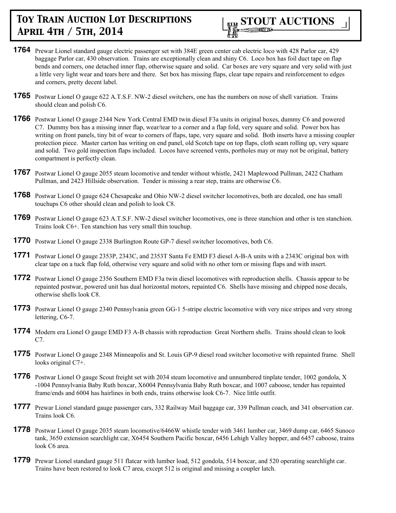

- **1764** Prewar Lionel standard gauge electric passenger set with 384E green center cab electric loco with 428 Parlor car, 429 baggage Parlor car, 430 observation. Trains are exceptionally clean and shiny C6. Loco box has foil duct tape on flap bends and corners, one detached inner flap, otherwise square and solid. Car boxes are very square and very solid with just a little very light wear and tears here and there. Set box has missing flaps, clear tape repairs and reinforcement to edges and corners, pretty decent label.
- **1765** Postwar Lionel O gauge 622 A.T.S.F. NW-2 diesel switchers, one has the numbers on nose of shell variation. Trains should clean and polish C6.
- **1766** Postwar Lionel O gauge 2344 New York Central EMD twin diesel F3a units in original boxes, dummy C6 and powered C7. Dummy box has a missing inner flap, wear/tear to a corner and a flap fold, very square and solid. Power box has writing on front panels, tiny bit of wear to corners of flaps, tape, very square and solid. Both inserts have a missing coupler protection piece. Master carton has writing on end panel, old Scotch tape on top flaps, cloth seam rolling up, very square and solid. Two gold inspection flaps included. Locos have screened vents, portholes may or may not be original, battery compartment is perfectly clean.
- **1767** Postwar Lionel O gauge 2055 steam locomotive and tender without whistle, 2421 Maplewood Pullman, 2422 Chatham Pullman, and 2423 Hillside observation. Tender is missing a rear step, trains are otherwise C6.
- **1768** Postwar Lionel O gauge 624 Chesapeake and Ohio NW-2 diesel switcher locomotives, both are decaled, one has small touchups C6 other should clean and polish to look C8.
- **1769** Postwar Lionel O gauge 623 A.T.S.F. NW-2 diesel switcher locomotives, one is three stanchion and other is ten stanchion. Trains look C6+. Ten stanchion has very small thin touchup.
- **1770** Postwar Lionel O gauge 2338 Burlington Route GP-7 diesel switcher locomotives, both C6.
- **1771** Postwar Lionel O gauge 2353P, 2343C, and 2353T Santa Fe EMD F3 diesel A-B-A units with a 2343C original box with clear tape on a tuck flap fold, otherwise very square and solid with no other torn or missing flaps and with insert.
- **1772** Postwar Lionel O gauge 2356 Southern EMD F3a twin diesel locomotives with reproduction shells. Chassis appear to be repainted postwar, powered unit has dual horizontal motors, repainted C6. Shells have missing and chipped nose decals, otherwise shells look C8.
- **1773** Postwar Lionel O gauge 2340 Pennsylvania green GG-1 5-stripe electric locomotive with very nice stripes and very strong lettering, C6-7.
- **1774** Modern era Lionel O gauge EMD F3 A-B chassis with reproduction Great Northern shells. Trains should clean to look C7.
- **1775** Postwar Lionel O gauge 2348 Minneapolis and St. Louis GP-9 diesel road switcher locomotive with repainted frame. Shell looks original C7+.
- **1776** Postwar Lionel O gauge Scout freight set with 2034 steam locomotive and unnumbered tinplate tender, 1002 gondola, X -1004 Pennsylvania Baby Ruth boxcar, X6004 Pennsylvania Baby Ruth boxcar, and 1007 caboose, tender has repainted frame/ends and 6004 has hairlines in both ends, trains otherwise look C6-7. Nice little outfit.
- **1777** Prewar Lionel standard gauge passenger cars, 332 Railway Mail baggage car, 339 Pullman coach, and 341 observation car. Trains look C6.
- **1778** Postwar Lionel O gauge 2035 steam locomotive/6466W whistle tender with 3461 lumber car, 3469 dump car, 6465 Sunoco tank, 3650 extension searchlight car, X6454 Southern Pacific boxcar, 6456 Lehigh Valley hopper, and 6457 caboose, trains look C6 area.
- **1779** Prewar Lionel standard gauge 511 flatcar with lumber load, 512 gondola, 514 boxcar, and 520 operating searchlight car. Trains have been restored to look C7 area, except 512 is original and missing a coupler latch.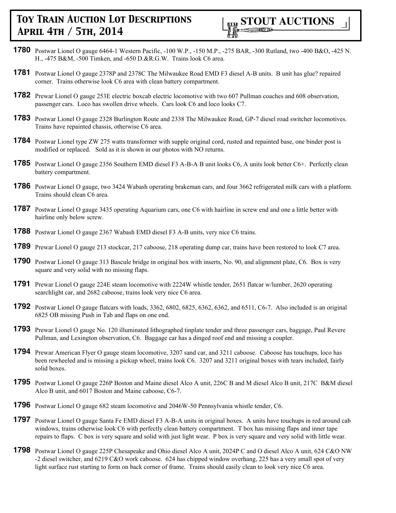

- **1780** Postwar Lionel O gauge 6464-1 Western Pacific, -100 W.P., -150 M.P., -275 BAR, -300 Rutland, two -400 B&O, -425 N. H., -475 B&M, -500 Timken, and -650 D.&R.G.W. Trains look C6 area.
- **1781** Postwar Lionel O gauge 2378P and 2378C The Milwaukee Road EMD F3 diesel A-B units. B unit has glue? repaired corner. Trains otherwise look C6 area with clean battery compartment.
- **1782** Prewar Lionel O gauge 253E electric boxcab electric locomotive with two 607 Pullman coaches and 608 observation, passenger cars. Loco has swollen drive wheels. Cars look C6 and loco looks C7.
- **1783** Postwar Lionel O gauge 2328 Burlington Route and 2338 The Milwaukee Road, GP-7 diesel road switcher locomotives. Trains have repainted chassis, otherwise C6 area.
- **1784** Postwar Lionel type ZW 275 watts transformer with supple original cord, rusted and repainted base, one binder post is modified or replaced. Sold as it is shown in our photos with NO returns.
- **1785** Postwar Lionel O gauge 2356 Southern EMD diesel F3 A-B-A B unit looks C6, A units look better C6+. Perfectly clean battery compartment.
- **1786** Postwar Lionel O gauge, two 3424 Wabash operating brakeman cars, and four 3662 refrigerated milk cars with a platform. Trains should clean C6 area.
- **1787** Postwar Lionel O gauge 3435 operating Aquarium cars, one C6 with hairline in screw end and one a little better with hairline only below screw.
- **1788** Postwar Lionel O gauge 2367 Wabash EMD diesel F3 A-B units, very nice C6 trains.
- **1789** Prewar Lionel O gauge 213 stockcar, 217 caboose, 218 operating dump car, trains have been restored to look C7 area.
- **1790** Postwar Lionel O gauge 313 Bascule bridge in original box with inserts, No. 90, and alignment plate, C6. Box is very square and very solid with no missing flaps.
- **1791** Prewar Lionel O gauge 224E steam locomotive with 2224W whistle tender, 2651 flatcar w/lumber, 2620 operating searchlight car, and 2682 caboose, trains look very nice C6 area.
- **1792** Postwar Lionel O gauge flatcars with loads, 3362, 6802, 6825, 6362, 6362, and 6511, C6-7. Also included is an original 6825 OB missing Push in Tab and flaps on one end.
- **1793** Prewar Lionel O gauge No. 120 illuminated lithographed tinplate tender and three passenger cars, baggage, Paul Revere Pullman, and Lexington observation, C6. Baggage car has a dinged roof end and missing a coupler.
- **1794** Prewar American Flyer O gauge steam locomotive, 3207 sand car, and 3211 caboose. Caboose has touchups, loco has been rewheeled and is missing a pickup wheel, trains look C6. 3207 and 3211 original boxes with tears included, fairly solid boxes.
- **1795** Postwar Lionel O gauge 226P Boston and Maine diesel Alco A unit, 226C B and M diesel Alco B unit, 217C B&M diesel Alco B unit, and 6017 Boston and Maine caboose, C6-7.
- **1796** Postwar Lionel O gauge 682 steam locomotive and 2046W-50 Pennsylvania whistle tender, C6.
- **1797** Postwar Lionel O gauge Santa Fe EMD diesel F3 A-B-A units in original boxes. A units have touchups in red around cab windows, trains otherwise look C6 with perfectly clean battery compartment. T box has missing flaps and inner tape repairs to flaps. C box is very square and solid with just light wear. P box is very square and very solid with little wear.
- **1798** Postwar Lionel O gauge 225P Chesapeake and Ohio diesel Alco A unit, 2024P C and O diesel Alco A unit, 624 C&O NW -2 diesel switcher, and 6219 C&O work caboose. 624 has chipped window overhang, 225 has a very small spot of very light surface rust starting to form on back corner of frame. Trains should easily clean to look very nice C6 area.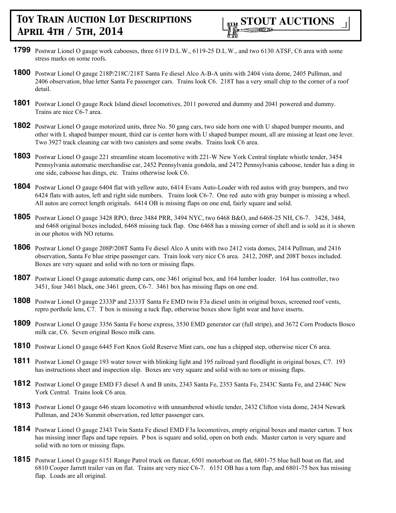- **1799** Postwar Lionel O gauge work cabooses, three 6119 D.L.W., 6119-25 D.L.W., and two 6130 ATSF, C6 area with some stress marks on some roofs.
- **1800** Postwar Lionel O gauge 218P/218C/218T Santa Fe diesel Alco A-B-A units with 2404 vista dome, 2405 Pullman, and 2406 observation, blue letter Santa Fe passenger cars. Trains look C6. 218T has a very small chip to the corner of a roof detail.
- **1801** Postwar Lionel O gauge Rock Island diesel locomotives, 2011 powered and dummy and 2041 powered and dummy. Trains are nice C6-7 area.
- **1802** Postwar Lionel O gauge motorized units, three No. 50 gang cars, two side horn one with U shaped bumper mounts, and other with L shaped bumper mount, third car is center horn with U shaped bumper mount, all are missing at least one lever. Two 3927 track cleaning car with two canisters and some swabs. Trains look C6 area.
- **1803** Postwar Lionel O gauge 221 streamline steam locomotive with 221-W New York Central tinplate whistle tender, 3454 Pennsylvania automatic merchandise car, 2452 Pennsylvania gondola, and 2472 Pennsylvania caboose, tender has a ding in one side, caboose has dings, etc. Trains otherwise look C6.
- **1804** Postwar Lionel O gauge 6404 flat with yellow auto, 6414 Evans Auto-Loader with red autos with gray bumpers, and two 6424 flats with autos, left and right side numbers. Trains look C6-7. One red auto with gray bumper is missing a wheel. All autos are correct length originals. 6414 OB is missing flaps on one end, fairly square and solid.
- **1805** Postwar Lionel O gauge 3428 RPO, three 3484 PRR, 3494 NYC, two 6468 B&O, and 6468-25 NH, C6-7. 3428, 3484, and 6468 original boxes included, 6468 missing tuck flap. One 6468 has a missing corner of shell and is sold as it is shown in our photos with NO returns.
- **1806** Postwar Lionel O gauge 208P/208T Santa Fe diesel Alco A units with two 2412 vista domes, 2414 Pullman, and 2416 observation, Santa Fe blue stripe passenger cars. Train look very nice C6 area. 2412, 208P, and 208T boxes included. Boxes are very square and solid with no torn or missing flaps.
- **1807** Postwar Lionel O gauge automatic dump cars, one 3461 original box, and 164 lumber loader. 164 has controller, two 3451, four 3461 black, one 3461 green, C6-7. 3461 box has missing flaps on one end.
- **1808** Postwar Lionel O gauge 2333P and 2333T Santa Fe EMD twin F3a diesel units in original boxes, screened roof vents, repro porthole lens, C7. T box is missing a tuck flap, otherwise boxes show light wear and have inserts.
- **1809** Postwar Lionel O gauge 3356 Santa Fe horse express, 3530 EMD generator car (full stripe), and 3672 Corn Products Bosco milk car, C6. Seven original Bosco milk cans.
- **1810** Postwar Lionel O gauge 6445 Fort Knox Gold Reserve Mint cars, one has a chipped step, otherwise nicer C6 area.
- **1811** Postwar Lionel O gauge 193 water tower with blinking light and 195 railroad yard floodlight in original boxes, C7. 193 has instructions sheet and inspection slip. Boxes are very square and solid with no torn or missing flaps.
- **1812** Postwar Lionel O gauge EMD F3 diesel A and B units, 2343 Santa Fe, 2353 Santa Fe, 2343C Santa Fe, and 2344C New York Central. Trains look C6 area.
- **1813** Postwar Lionel O gauge 646 steam locomotive with unnumbered whistle tender, 2432 Clifton vista dome, 2434 Newark Pullman, and 2436 Summit observation, red letter passenger cars.
- **1814** Postwar Lionel O gauge 2343 Twin Santa Fe diesel EMD F3a locomotives, empty original boxes and master carton. T box has missing inner flaps and tape repairs. P box is square and solid, open on both ends. Master carton is very square and solid with no torn or missing flaps.
- **1815** Postwar Lionel O gauge 6151 Range Patrol truck on flatcar, 6501 motorboat on flat, 6801-75 blue hull boat on flat, and 6810 Cooper Jarrett trailer van on flat. Trains are very nice C6-7. 6151 OB has a torn flap, and 6801-75 box has missing flap. Loads are all original.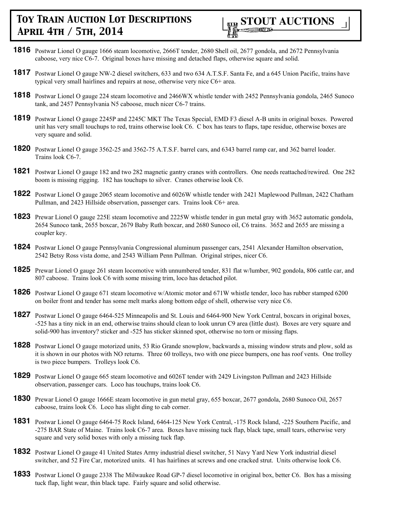

- **1816** Postwar Lionel O gauge 1666 steam locomotive, 2666T tender, 2680 Shell oil, 2677 gondola, and 2672 Pennsylvania caboose, very nice C6-7. Original boxes have missing and detached flaps, otherwise square and solid.
- **1817** Postwar Lionel O gauge NW-2 diesel switchers, 633 and two 634 A.T.S.F. Santa Fe, and a 645 Union Pacific, trains have typical very small hairlines and repairs at nose, otherwise very nice C6+ area.
- **1818** Postwar Lionel O gauge 224 steam locomotive and 2466WX whistle tender with 2452 Pennsylvania gondola, 2465 Sunoco tank, and 2457 Pennsylvania N5 caboose, much nicer C6-7 trains.
- **1819** Postwar Lionel O gauge 2245P and 2245C MKT The Texas Special, EMD F3 diesel A-B units in original boxes. Powered unit has very small touchups to red, trains otherwise look C6. C box has tears to flaps, tape residue, otherwise boxes are very square and solid.
- **1820** Postwar Lionel O gauge 3562-25 and 3562-75 A.T.S.F. barrel cars, and 6343 barrel ramp car, and 362 barrel loader. Trains look C6-7.
- **1821** Postwar Lionel O gauge 182 and two 282 magnetic gantry cranes with controllers. One needs reattached/rewired. One 282 boom is missing rigging. 182 has touchups to silver. Cranes otherwise look C6.
- **1822** Postwar Lionel O gauge 2065 steam locomotive and 6026W whistle tender with 2421 Maplewood Pullman, 2422 Chatham Pullman, and 2423 Hillside observation, passenger cars. Trains look C6+ area.
- **1823** Prewar Lionel O gauge 225E steam locomotive and 2225W whistle tender in gun metal gray with 3652 automatic gondola, 2654 Sunoco tank, 2655 boxcar, 2679 Baby Ruth boxcar, and 2680 Sunoco oil, C6 trains. 3652 and 2655 are missing a coupler key.
- **1824** Postwar Lionel O gauge Pennsylvania Congressional aluminum passenger cars, 2541 Alexander Hamilton observation, 2542 Betsy Ross vista dome, and 2543 William Penn Pullman. Original stripes, nicer C6.
- **1825** Prewar Lionel O gauge 261 steam locomotive with unnumbered tender, 831 flat w/lumber, 902 gondola, 806 cattle car, and 807 caboose. Trains look C6 with some missing trim, loco has detached pilot.
- **1826** Postwar Lionel O gauge 671 steam locomotive w/Atomic motor and 671W whistle tender, loco has rubber stamped 6200 on boiler front and tender has some melt marks along bottom edge of shell, otherwise very nice C6.
- **1827** Postwar Lionel O gauge 6464-525 Minneapolis and St. Louis and 6464-900 New York Central, boxcars in original boxes, -525 has a tiny nick in an end, otherwise trains should clean to look unrun C9 area (little dust). Boxes are very square and solid-900 has inventory? sticker and -525 has sticker skinned spot, otherwise no torn or missing flaps.
- **1828** Postwar Lionel O gauge motorized units, 53 Rio Grande snowplow, backwards a, missing window struts and plow, sold as it is shown in our photos with NO returns. Three 60 trolleys, two with one piece bumpers, one has roof vents. One trolley is two piece bumpers. Trolleys look C6.
- **1829** Postwar Lionel O gauge 665 steam locomotive and 6026T tender with 2429 Livingston Pullman and 2423 Hillside observation, passenger cars. Loco has touchups, trains look C6.
- **1830** Prewar Lionel O gauge 1666E steam locomotive in gun metal gray, 655 boxcar, 2677 gondola, 2680 Sunoco Oil, 2657 caboose, trains look C6. Loco has slight ding to cab corner.
- **1831** Postwar Lionel O gauge 6464-75 Rock Island, 6464-125 New York Central, -175 Rock Island, -225 Southern Pacific, and -275 BAR State of Maine. Trains look C6-7 area. Boxes have missing tuck flap, black tape, small tears, otherwise very square and very solid boxes with only a missing tuck flap.
- **1832** Postwar Lionel O gauge 41 United States Army industrial diesel switcher, 51 Navy Yard New York industrial diesel switcher, and 52 Fire Car, motorized units. 41 has hairlines at screws and one cracked strut. Units otherwise look C6.
- **1833** Postwar Lionel O gauge 2338 The Milwaukee Road GP-7 diesel locomotive in original box, better C6. Box has a missing tuck flap, light wear, thin black tape. Fairly square and solid otherwise.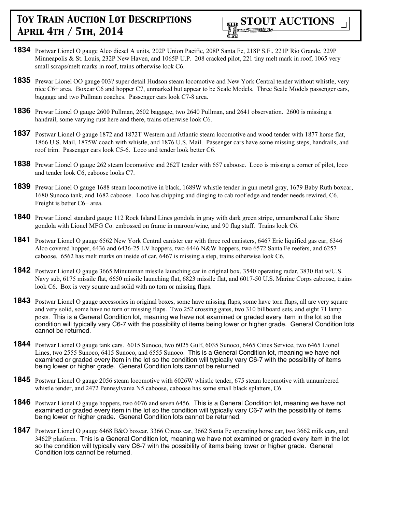- **1834** Postwar Lionel O gauge Alco diesel A units, 202P Union Pacific, 208P Santa Fe, 218P S.F., 221P Rio Grande, 229P Minneapolis & St. Louis, 232P New Haven, and 1065P U.P. 208 cracked pilot, 221 tiny melt mark in roof, 1065 very small scraps/melt marks in roof, trains otherwise look C6.
- **1835** Prewar Lionel OO gauge 003? super detail Hudson steam locomotive and New York Central tender without whistle, very nice C6+ area. Boxcar C6 and hopper C7, unmarked but appear to be Scale Models. Three Scale Models passenger cars, baggage and two Pullman coaches. Passenger cars look C7-8 area.
- **1836** Prewar Lionel O gauge 2600 Pullman, 2602 baggage, two 2640 Pullman, and 2641 observation. 2600 is missing a handrail, some varying rust here and there, trains otherwise look C6.
- **1837** Postwar Lionel O gauge 1872 and 1872T Western and Atlantic steam locomotive and wood tender with 1877 horse flat, 1866 U.S. Mail, 1875W coach with whistle, and 1876 U.S. Mail. Passenger cars have some missing steps, handrails, and roof trim. Passenger cars look C5-6. Loco and tender look better C6.
- **1838** Prewar Lionel O gauge 262 steam locomotive and 262T tender with 657 caboose. Loco is missing a corner of pilot, loco and tender look C6, caboose looks C7.
- **1839** Prewar Lionel O gauge 1688 steam locomotive in black, 1689W whistle tender in gun metal gray, 1679 Baby Ruth boxcar, 1680 Sunoco tank, and 1682 caboose. Loco has chipping and dinging to cab roof edge and tender needs rewired, C6. Freight is better C6+ area.
- **1840** Prewar Lionel standard gauge 112 Rock Island Lines gondola in gray with dark green stripe, unnumbered Lake Shore gondola with Lionel MFG Co. embossed on frame in maroon/wine, and 90 flag staff. Trains look C6.
- **1841** Postwar Lionel O gauge 6562 New York Central canister car with three red canisters, 6467 Erie liquified gas car, 6346 Alco covered hopper, 6436 and 6436-25 LV hoppers, two 6446 N&W hoppers, two 6572 Santa Fe reefers, and 6257 caboose. 6562 has melt marks on inside of car, 6467 is missing a step, trains otherwise look C6.
- **1842** Postwar Lionel O gauge 3665 Minuteman missile launching car in original box, 3540 operating radar, 3830 flat w/U.S. Navy sub, 6175 missile flat, 6650 missile launching flat, 6823 missile flat, and 6017-50 U.S. Marine Corps caboose, trains look C6. Box is very square and solid with no torn or missing flaps.
- **1843** Postwar Lionel O gauge accessories in original boxes, some have missing flaps, some have torn flaps, all are very square and very solid, some have no torn or missing flaps. Two 252 crossing gates, two 310 billboard sets, and eight 71 lamp posts. This is a General Condition lot, meaning we have not examined or graded every item in the lot so the condition will typically vary C6-7 with the possibility of items being lower or higher grade. General Condition lots cannot be returned.
- **1844** Postwar Lionel O gauge tank cars. 6015 Sunoco, two 6025 Gulf, 6035 Sunoco, 6465 Cities Service, two 6465 Lionel Lines, two 2555 Sunoco, 6415 Sunoco, and 6555 Sunoco. This is a General Condition lot, meaning we have not examined or graded every item in the lot so the condition will typically vary C6-7 with the possibility of items being lower or higher grade. General Condition lots cannot be returned.
- **1845** Postwar Lionel O gauge 2056 steam locomotive with 6026W whistle tender, 675 steam locomotive with unnumbered whistle tender, and 2472 Pennsylvania N5 caboose, caboose has some small black splatters, C6.
- **1846** Postwar Lionel O gauge hoppers, two 6076 and seven 6456. This is a General Condition lot, meaning we have not examined or graded every item in the lot so the condition will typically vary C6-7 with the possibility of items being lower or higher grade. General Condition lots cannot be returned.
- **1847** Postwar Lionel O gauge 6468 B&O boxcar, 3366 Circus car, 3662 Santa Fe operating horse car, two 3662 milk cars, and 3462P platform. This is a General Condition lot, meaning we have not examined or graded every item in the lot so the condition will typically vary C6-7 with the possibility of items being lower or higher grade. General Condition lots cannot be returned.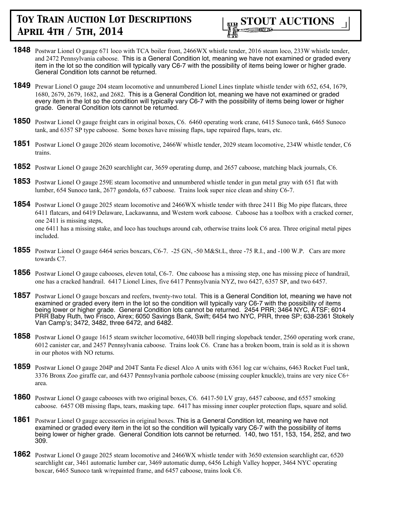

- **1848** Postwar Lionel O gauge 671 loco with TCA boiler front, 2466WX whistle tender, 2016 steam loco, 233W whistle tender, and 2472 Pennsylvania caboose. This is a General Condition lot, meaning we have not examined or graded every item in the lot so the condition will typically vary C6-7 with the possibility of items being lower or higher grade. General Condition lots cannot be returned.
- **1849** Prewar Lionel O gauge 204 steam locomotive and unnumbered Lionel Lines tinplate whistle tender with 652, 654, 1679, 1680, 2679, 2679, 1682, and 2682. This is a General Condition lot, meaning we have not examined or graded every item in the lot so the condition will typically vary C6-7 with the possibility of items being lower or higher grade. General Condition lots cannot be returned.
- **1850** Postwar Lionel O gauge freight cars in original boxes, C6. 6460 operating work crane, 6415 Sunoco tank, 6465 Sunoco tank, and 6357 SP type caboose. Some boxes have missing flaps, tape repaired flaps, tears, etc.
- **1851** Postwar Lionel O gauge 2026 steam locomotive, 2466W whistle tender, 2029 steam locomotive, 234W whistle tender, C6 trains.
- **1852** Postwar Lionel O gauge 2620 searchlight car, 3659 operating dump, and 2657 caboose, matching black journals, C6.
- **1853** Postwar Lionel O gauge 259E steam locomotive and unnumbered whistle tender in gun metal gray with 651 flat with lumber, 654 Sunoco tank, 2677 gondola, 657 caboose. Trains look super nice clean and shiny C6-7.
- **1854** Postwar Lionel O gauge 2025 steam locomotive and 2466WX whistle tender with three 2411 Big Mo pipe flatcars, three 6411 flatcars, and 6419 Delaware, Lackawanna, and Western work caboose. Caboose has a toolbox with a cracked corner, one 2411 is missing steps, one 6411 has a missing stake, and loco has touchups around cab, otherwise trains look C6 area. Three original metal pipes included.
- **1855** Postwar Lionel O gauge 6464 series boxcars, C6-7. -25 GN, -50 M&St.L, three -75 R.I., and -100 W.P. Cars are more towards C7.
- **1856** Postwar Lionel O gauge cabooses, eleven total, C6-7. One caboose has a missing step, one has missing piece of handrail, one has a cracked handrail. 6417 Lionel Lines, five 6417 Pennsylvania NYZ, two 6427, 6357 SP, and two 6457.
- **1857** Postwar Lionel O gauge boxcars and reefers, twenty-two total. This is a General Condition lot, meaning we have not examined or graded every item in the lot so the condition will typically vary C6-7 with the possibility of items being lower or higher grade. General Condition lots cannot be returned. 2454 PRR; 3464 NYC, ATSF; 6014 PRR Baby Ruth, two Frisco, Airex; 6050 Savings Bank, Swift; 6454 two NYC, PRR, three SP; 638-2361 Stokely Van Camp's; 3472, 3482, three 6472, and 6482.
- **1858** Postwar Lionel O gauge 1615 steam switcher locomotive, 6403B bell ringing slopeback tender, 2560 operating work crane, 6012 canister car, and 2457 Pennsylvania caboose. Trains look C6. Crane has a broken boom, train is sold as it is shown in our photos with NO returns.
- **1859** Postwar Lionel O gauge 204P and 204T Santa Fe diesel Alco A units with 6361 log car w/chains, 6463 Rocket Fuel tank, 3376 Bronx Zoo giraffe car, and 6437 Pennsylvania porthole caboose (missing coupler knuckle), trains are very nice C6+ area.
- **1860** Postwar Lionel O gauge cabooses with two original boxes, C6. 6417-50 LV gray, 6457 caboose, and 6557 smoking caboose. 6457 OB missing flaps, tears, masking tape. 6417 has missing inner coupler protection flaps, square and solid.
- **1861** Postwar Lionel O gauge accessories in original boxes. This is a General Condition lot, meaning we have not examined or graded every item in the lot so the condition will typically vary C6-7 with the possibility of items being lower or higher grade. General Condition lots cannot be returned. 140, two 151, 153, 154, 252, and two 309.
- **1862** Postwar Lionel O gauge 2025 steam locomotive and 2466WX whistle tender with 3650 extension searchlight car, 6520 searchlight car, 3461 automatic lumber car, 3469 automatic dump, 6456 Lehigh Valley hopper, 3464 NYC operating boxcar, 6465 Sunoco tank w/repainted frame, and 6457 caboose, trains look C6.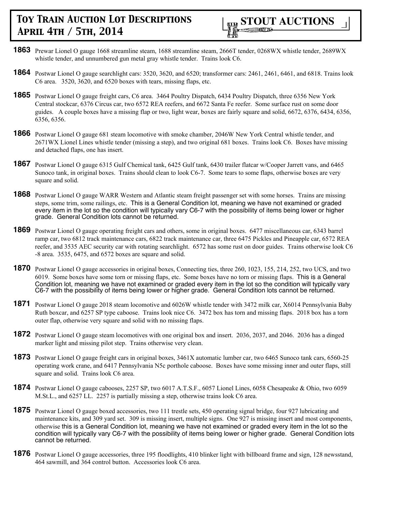

- **1863** Prewar Lionel O gauge 1668 streamline steam, 1688 streamline steam, 2666T tender, 0268WX whistle tender, 2689WX whistle tender, and unnumbered gun metal gray whistle tender. Trains look C6.
- **1864** Postwar Lionel O gauge searchlight cars: 3520, 3620, and 6520; transformer cars: 2461, 2461, 6461, and 6818. Trains look C6 area. 3520, 3620, and 6520 boxes with tears, missing flaps, etc.
- **1865** Postwar Lionel O gauge freight cars, C6 area. 3464 Poultry Dispatch, 6434 Poultry Dispatch, three 6356 New York Central stockcar, 6376 Circus car, two 6572 REA reefers, and 6672 Santa Fe reefer. Some surface rust on some door guides. A couple boxes have a missing flap or two, light wear, boxes are fairly square and solid, 6672, 6376, 6434, 6356, 6356, 6356.
- **1866** Postwar Lionel O gauge 681 steam locomotive with smoke chamber, 2046W New York Central whistle tender, and 2671WX Lionel Lines whistle tender (missing a step), and two original 681 boxes. Trains look C6. Boxes have missing and detached flaps, one has insert.
- **1867** Postwar Lionel O gauge 6315 Gulf Chemical tank, 6425 Gulf tank, 6430 trailer flatcar w/Cooper Jarrett vans, and 6465 Sunoco tank, in original boxes. Trains should clean to look C6-7. Some tears to some flaps, otherwise boxes are very square and solid.
- **1868** Postwar Lionel O gauge WARR Western and Atlantic steam freight passenger set with some horses. Trains are missing steps, some trim, some railings, etc. This is a General Condition lot, meaning we have not examined or graded every item in the lot so the condition will typically vary C6-7 with the possibility of items being lower or higher grade. General Condition lots cannot be returned.
- **1869** Postwar Lionel O gauge operating freight cars and others, some in original boxes. 6477 miscellaneous car, 6343 barrel ramp car, two 6812 track maintenance cars, 6822 track maintenance car, three 6475 Pickles and Pineapple car, 6572 REA reefer, and 3535 AEC security car with rotating searchlight. 6572 has some rust on door guides. Trains otherwise look C6 -8 area. 3535, 6475, and 6572 boxes are square and solid.
- **1870** Postwar Lionel O gauge accessories in original boxes, Connecting ties, three 260, 1023, 155, 214, 252, two UCS, and two 6019. Some boxes have some torn or missing flaps, etc. Some boxes have no torn or missing flaps. This is a General Condition lot, meaning we have not examined or graded every item in the lot so the condition will typically vary C6-7 with the possibility of items being lower or higher grade. General Condition lots cannot be returned.
- **1871** Postwar Lionel O gauge 2018 steam locomotive and 6026W whistle tender with 3472 milk car, X6014 Pennsylvania Baby Ruth boxcar, and 6257 SP type caboose. Trains look nice C6. 3472 box has torn and missing flaps. 2018 box has a torn outer flap, otherwise very square and solid with no missing flaps.
- **1872** Postwar Lionel O gauge steam locomotives with one original box and insert. 2036, 2037, and 2046. 2036 has a dinged marker light and missing pilot step. Trains otherwise very clean.
- **1873** Postwar Lionel O gauge freight cars in original boxes, 3461X automatic lumber car, two 6465 Sunoco tank cars, 6560-25 operating work crane, and 6417 Pennsylvania N5c porthole caboose. Boxes have some missing inner and outer flaps, still square and solid. Trains look C6 area.
- **1874** Postwar Lionel O gauge cabooses, 2257 SP, two 6017 A.T.S.F., 6057 Lionel Lines, 6058 Chesapeake & Ohio, two 6059 M.St.L., and 6257 LL. 2257 is partially missing a step, otherwise trains look C6 area.
- **1875** Postwar Lionel O gauge boxed accessories, two 111 trestle sets, 450 operating signal bridge, four 927 lubricating and maintenance kits, and 309 yard set. 309 is missing insert, multiple signs. One 927 is missing insert and most components, otherwise this is a General Condition lot, meaning we have not examined or graded every item in the lot so the condition will typically vary C6-7 with the possibility of items being lower or higher grade. General Condition lots cannot be returned.
- **1876** Postwar Lionel O gauge accessories, three 195 floodlights, 410 blinker light with billboard frame and sign, 128 newsstand, 464 sawmill, and 364 control button. Accessories look C6 area.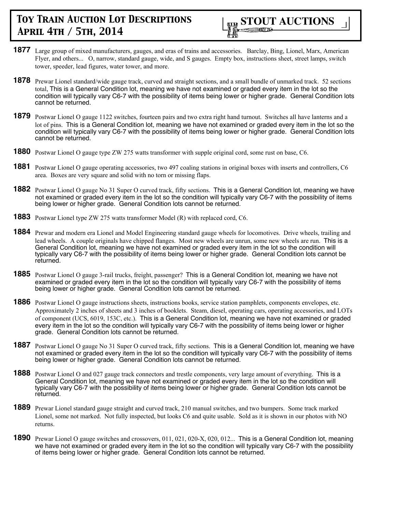

- **1877** Large group of mixed manufacturers, gauges, and eras of trains and accessories. Barclay, Bing, Lionel, Marx, American Flyer, and others... O, narrow, standard gauge, wide, and S gauges. Empty box, instructions sheet, street lamps, switch tower, speeder, lead figures, water tower, and more.
- **1878** Prewar Lionel standard/wide gauge track, curved and straight sections, and a small bundle of unmarked track. 52 sections total, This is a General Condition lot, meaning we have not examined or graded every item in the lot so the condition will typically vary C6-7 with the possibility of items being lower or higher grade. General Condition lots cannot be returned.
- **1879** Postwar Lionel O gauge 1122 switches, fourteen pairs and two extra right hand turnout. Switches all have lanterns and a lot of pins. This is a General Condition lot, meaning we have not examined or graded every item in the lot so the condition will typically vary C6-7 with the possibility of items being lower or higher grade. General Condition lots cannot be returned.
- **1880** Postwar Lionel O gauge type ZW 275 watts transformer with supple original cord, some rust on base, C6.
- **1881** Postwar Lionel O gauge operating accessories, two 497 coaling stations in original boxes with inserts and controllers, C6 area. Boxes are very square and solid with no torn or missing flaps.
- **1882** Postwar Lionel O gauge No 31 Super O curved track, fifty sections. This is a General Condition lot, meaning we have not examined or graded every item in the lot so the condition will typically vary C6-7 with the possibility of items being lower or higher grade. General Condition lots cannot be returned.
- **1883** Postwar Lionel type ZW 275 watts transformer Model (R) with replaced cord, C6.
- **1884** Prewar and modern era Lionel and Model Engineering standard gauge wheels for locomotives. Drive wheels, trailing and lead wheels. A couple originals have chipped flanges. Most new wheels are unrun, some new wheels are run. This is a General Condition lot, meaning we have not examined or graded every item in the lot so the condition will typically vary C6-7 with the possibility of items being lower or higher grade. General Condition lots cannot be returned.
- **1885** Postwar Lionel O gauge 3-rail trucks, freight, passenger? This is a General Condition lot, meaning we have not examined or graded every item in the lot so the condition will typically vary C6-7 with the possibility of items being lower or higher grade. General Condition lots cannot be returned.
- **1886** Postwar Lionel O gauge instructions sheets, instructions books, service station pamphlets, components envelopes, etc. Approximately 2 inches of sheets and 3 inches of booklets. Steam, diesel, operating cars, operating accessories, and LOTs of component (UCS, 6019, 153C, etc.). This is a General Condition lot, meaning we have not examined or graded every item in the lot so the condition will typically vary C6-7 with the possibility of items being lower or higher grade. General Condition lots cannot be returned.
- **1887** Postwar Lionel O gauge No 31 Super O curved track, fifty sections. This is a General Condition lot, meaning we have not examined or graded every item in the lot so the condition will typically vary C6-7 with the possibility of items being lower or higher grade. General Condition lots cannot be returned.
- **1888** Postwar Lionel O and 027 gauge track connectors and trestle components, very large amount of everything. This is a General Condition lot, meaning we have not examined or graded every item in the lot so the condition will typically vary C6-7 with the possibility of items being lower or higher grade. General Condition lots cannot be returned.
- **1889** Prewar Lionel standard gauge straight and curved track, 210 manual switches, and two bumpers. Some track marked Lionel, some not marked. Not fully inspected, but looks C6 and quite usable. Sold as it is shown in our photos with NO returns.
- **1890** Prewar Lionel O gauge switches and crossovers, 011, 021, 020-X, 020, 012... This is a General Condition lot, meaning we have not examined or graded every item in the lot so the condition will typically vary C6-7 with the possibility of items being lower or higher grade. General Condition lots cannot be returned.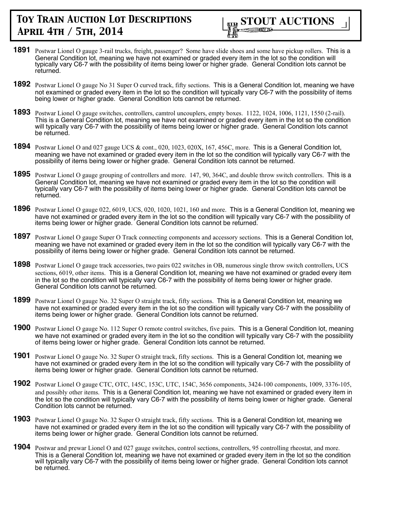

- **1891** Postwar Lionel O gauge 3-rail trucks, freight, passenger? Some have slide shoes and some have pickup rollers. This is a General Condition lot, meaning we have not examined or graded every item in the lot so the condition will typically vary C6-7 with the possibility of items being lower or higher grade. General Condition lots cannot be returned.
- **1892** Postwar Lionel O gauge No 31 Super O curved track, fifty sections. This is a General Condition lot, meaning we have not examined or graded every item in the lot so the condition will typically vary C6-7 with the possibility of items being lower or higher grade. General Condition lots cannot be returned.
- **1893** Postwar Lionel O gauge switches, controllers, camtrol uncouplers, empty boxes. 1122, 1024, 1006, 1121, 1550 (2-rail). This is a General Condition lot, meaning we have not examined or graded every item in the lot so the condition will typically vary C6-7 with the possibility of items being lower or higher grade. General Condition lots cannot be returned.
- **1894** Postwar Lionel O and 027 gauge UCS & cont., 020, 1023, 020X, 167, 456C, more. This is a General Condition lot, meaning we have not examined or graded every item in the lot so the condition will typically vary C6-7 with the possibility of items being lower or higher grade. General Condition lots cannot be returned.
- **1895** Postwar Lionel O gauge grouping of controllers and more. 147, 90, 364C, and double throw switch controllers. This is a General Condition lot, meaning we have not examined or graded every item in the lot so the condition will typically vary C6-7 with the possibility of items being lower or higher grade. General Condition lots cannot be returned.
- **1896** Postwar Lionel O gauge 022, 6019, UCS, 020, 1020, 1021, 160 and more. This is a General Condition lot, meaning we have not examined or graded every item in the lot so the condition will typically vary C6-7 with the possibility of items being lower or higher grade. General Condition lots cannot be returned.
- **1897** Postwar Lionel O gauge Super O Track connecting components and accessory sections. This is a General Condition lot, meaning we have not examined or graded every item in the lot so the condition will typically vary C6-7 with the possibility of items being lower or higher grade. General Condition lots cannot be returned.
- **1898** Postwar Lionel O gauge track accessories, two pairs 022 switches in OB, numerous single throw switch controllers, UCS sections, 6019, other items. This is a General Condition lot, meaning we have not examined or graded every item in the lot so the condition will typically vary C6-7 with the possibility of items being lower or higher grade. General Condition lots cannot be returned.
- **1899** Postwar Lionel O gauge No. 32 Super O straight track, fifty sections. This is a General Condition lot, meaning we have not examined or graded every item in the lot so the condition will typically vary C6-7 with the possibility of items being lower or higher grade. General Condition lots cannot be returned.
- **1900** Postwar Lionel O gauge No. 112 Super O remote control switches, five pairs. This is a General Condition lot, meaning we have not examined or graded every item in the lot so the condition will typically vary C6-7 with the possibility of items being lower or higher grade. General Condition lots cannot be returned.
- **1901** Postwar Lionel O gauge No. 32 Super O straight track, fifty sections. This is a General Condition lot, meaning we have not examined or graded every item in the lot so the condition will typically vary C6-7 with the possibility of items being lower or higher grade. General Condition lots cannot be returned.
- **1902** Postwar Lionel O gauge CTC, OTC, 145C, 153C, UTC, 154C, 3656 components, 3424-100 components, 1009, 3376-105, and possibly other items. This is a General Condition lot, meaning we have not examined or graded every item in the lot so the condition will typically vary C6-7 with the possibility of items being lower or higher grade. General Condition lots cannot be returned.
- **1903** Postwar Lionel O gauge No. 32 Super O straight track, fifty sections. This is a General Condition lot, meaning we have not examined or graded every item in the lot so the condition will typically vary C6-7 with the possibility of items being lower or higher grade. General Condition lots cannot be returned.
- **1904** Postwar and prewar Lionel O and 027 gauge switches, control sections, controllers, 95 controlling rheostat, and more. This is a General Condition lot, meaning we have not examined or graded every item in the lot so the condition will typically vary C6-7 with the possibility of items being lower or higher grade. General Condition lots cannot be returned.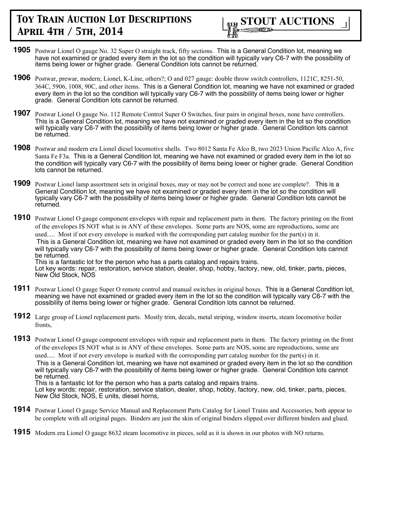

- **1905** Postwar Lionel O gauge No. 32 Super O straight track, fifty sections. This is a General Condition lot, meaning we have not examined or graded every item in the lot so the condition will typically vary C6-7 with the possibility of items being lower or higher grade. General Condition lots cannot be returned.
- **1906** Postwar, prewar, modern; Lionel, K-Line, others?; O and 027 gauge: double throw switch controllers, 1121C, 8251-50, 364C, 5906, 1008, 90C, and other items. This is a General Condition lot, meaning we have not examined or graded every item in the lot so the condition will typically vary C6-7 with the possibility of items being lower or higher grade. General Condition lots cannot be returned.
- **1907** Postwar Lionel O gauge No. 112 Remote Control Super O Switches, four pairs in original boxes, none have controllers. This is a General Condition lot, meaning we have not examined or graded every item in the lot so the condition will typically vary C6-7 with the possibility of items being lower or higher grade. General Condition lots cannot be returned.
- **1908** Postwar and modern era Lionel diesel locomotive shells. Two 8012 Santa Fe Alco B, two 2023 Union Pacific Alco A, five Santa Fe F3a. This is a General Condition lot, meaning we have not examined or graded every item in the lot so the condition will typically vary C6-7 with the possibility of items being lower or higher grade. General Condition lots cannot be returned.
- **1909** Postwar Lionel lamp assortment sets in original boxes, may or may not be correct and none are complete?. This is a General Condition lot, meaning we have not examined or graded every item in the lot so the condition will typically vary C6-7 with the possibility of items being lower or higher grade. General Condition lots cannot be returned.
- **1910** Postwar Lionel O gauge component envelopes with repair and replacement parts in them. The factory printing on the front of the envelopes IS NOT what is in ANY of these envelopes. Some parts are NOS, some are reproductions, some are used..... Most if not every envelope is marked with the corresponding part catalog number for the part(s) in it. This is a General Condition lot, meaning we have not examined or graded every item in the lot so the condition will typically vary C6-7 with the possibility of items being lower or higher grade. General Condition lots cannot be returned. This is a fantastic lot for the person who has a parts catalog and repairs trains.

Lot key words: repair, restoration, service station, dealer, shop, hobby, factory, new, old, tinker, parts, pieces, New Old Stock, NOS

- **1911** Postwar Lionel O gauge Super O remote control and manual switches in original boxes. This is a General Condition lot, meaning we have not examined or graded every item in the lot so the condition will typically vary C6-7 with the possibility of items being lower or higher grade. General Condition lots cannot be returned.
- **1912** Large group of Lionel replacement parts. Mostly trim, decals, metal striping, window inserts, steam locomotive boiler fronts,
- **1913** Postwar Lionel O gauge component envelopes with repair and replacement parts in them. The factory printing on the front of the envelopes IS NOT what is in ANY of these envelopes. Some parts are NOS, some are reproductions, some are used..... Most if not every envelope is marked with the corresponding part catalog number for the part(s) in it. This is a General Condition lot, meaning we have not examined or graded every item in the lot so the condition will typically vary C6-7 with the possibility of items being lower or higher grade. General Condition lots cannot be returned. This is a fantastic lot for the person who has a parts catalog and repairs trains. Lot key words: repair, restoration, service station, dealer, shop, hobby, factory, new, old, tinker, parts, pieces, New Old Stock, NOS, E units, diesel horns,
- **1914** Postwar Lionel O gauge Service Manual and Replacement Parts Catalog for Lionel Trains and Accessories, both appear to be complete with all original pages. Binders are just the skin of original binders slipped over different binders and glued.
- **1915** Modern era Lionel O gauge 8632 steam locomotive in pieces, sold as it is shown in our photos with NO returns.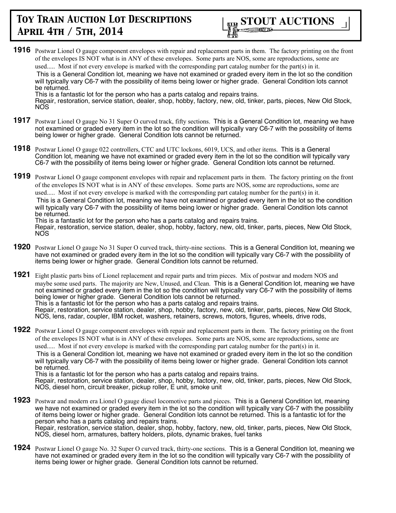

**1916** Postwar Lionel O gauge component envelopes with repair and replacement parts in them. The factory printing on the front of the envelopes IS NOT what is in ANY of these envelopes. Some parts are NOS, some are reproductions, some are used..... Most if not every envelope is marked with the corresponding part catalog number for the part(s) in it. This is a General Condition lot, meaning we have not examined or graded every item in the lot so the condition will typically vary C6-7 with the possibility of items being lower or higher grade. General Condition lots cannot be returned.

This is a fantastic lot for the person who has a parts catalog and repairs trains. Repair, restoration, service station, dealer, shop, hobby, factory, new, old, tinker, parts, pieces, New Old Stock, NOS

- **1917** Postwar Lionel O gauge No 31 Super O curved track, fifty sections. This is a General Condition lot, meaning we have not examined or graded every item in the lot so the condition will typically vary C6-7 with the possibility of items being lower or higher grade. General Condition lots cannot be returned.
- **1918** Postwar Lionel O gauge 022 controllers, CTC and UTC lockons, 6019, UCS, and other items. This is a General Condition lot, meaning we have not examined or graded every item in the lot so the condition will typically vary C6-7 with the possibility of items being lower or higher grade. General Condition lots cannot be returned.
- **1919** Postwar Lionel O gauge component envelopes with repair and replacement parts in them. The factory printing on the front of the envelopes IS NOT what is in ANY of these envelopes. Some parts are NOS, some are reproductions, some are used..... Most if not every envelope is marked with the corresponding part catalog number for the part(s) in it. This is a General Condition lot, meaning we have not examined or graded every item in the lot so the condition will typically vary C6-7 with the possibility of items being lower or higher grade. General Condition lots cannot

be returned. This is a fantastic lot for the person who has a parts catalog and repairs trains.

Repair, restoration, service station, dealer, shop, hobby, factory, new, old, tinker, parts, pieces, New Old Stock, NOS

**1920** Postwar Lionel O gauge No 31 Super O curved track, thirty-nine sections. This is a General Condition lot, meaning we have not examined or graded every item in the lot so the condition will typically vary C6-7 with the possibility of items being lower or higher grade. General Condition lots cannot be returned.

**1921** Eight plastic parts bins of Lionel replacement and repair parts and trim pieces. Mix of postwar and modern NOS and maybe some used parts. The majority are New, Unused, and Clean. This is a General Condition lot, meaning we have not examined or graded every item in the lot so the condition will typically vary C6-7 with the possibility of items being lower or higher grade. General Condition lots cannot be returned. This is a fantastic lot for the person who has a parts catalog and repairs trains. Repair, restoration, service station, dealer, shop, hobby, factory, new, old, tinker, parts, pieces, New Old Stock, NOS, lens, radar, coupler, IBM rocket, washers, retainers, screws, motors, figures, wheels, drive rods,

**1922** Postwar Lionel O gauge component envelopes with repair and replacement parts in them. The factory printing on the front of the envelopes IS NOT what is in ANY of these envelopes. Some parts are NOS, some are reproductions, some are used..... Most if not every envelope is marked with the corresponding part catalog number for the part(s) in it. This is a General Condition lot, meaning we have not examined or graded every item in the lot so the condition will typically vary C6-7 with the possibility of items being lower or higher grade. General Condition lots cannot be returned. This is a fantastic lot for the person who has a parts catalog and repairs trains.

Repair, restoration, service station, dealer, shop, hobby, factory, new, old, tinker, parts, pieces, New Old Stock, NOS, diesel horn, circuit breaker, pickup roller, E unit, smoke unit

- **1923** Postwar and modern era Lionel O gauge diesel locomotive parts and pieces. This is a General Condition lot, meaning we have not examined or graded every item in the lot so the condition will typically vary C6-7 with the possibility of items being lower or higher grade. General Condition lots cannot be returned. This is a fantastic lot for the person who has a parts catalog and repairs trains. Repair, restoration, service station, dealer, shop, hobby, factory, new, old, tinker, parts, pieces, New Old Stock, NOS, diesel horn, armatures, battery holders, pilots, dynamic brakes, fuel tanks
- **1924** Postwar Lionel O gauge No. 32 Super O curved track, thirty-one sections. This is a General Condition lot, meaning we have not examined or graded every item in the lot so the condition will typically vary C6-7 with the possibility of items being lower or higher grade. General Condition lots cannot be returned.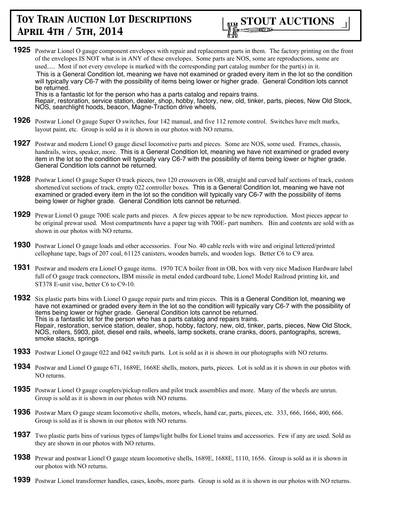

**1925** Postwar Lionel O gauge component envelopes with repair and replacement parts in them. The factory printing on the front of the envelopes IS NOT what is in ANY of these envelopes. Some parts are NOS, some are reproductions, some are used..... Most if not every envelope is marked with the corresponding part catalog number for the part(s) in it. This is a General Condition lot, meaning we have not examined or graded every item in the lot so the condition will typically vary C6-7 with the possibility of items being lower or higher grade. General Condition lots cannot be returned. This is a fantastic lot for the person who has a parts catalog and repairs trains.

Repair, restoration, service station, dealer, shop, hobby, factory, new, old, tinker, parts, pieces, New Old Stock, NOS, searchlight hoods, beacon, Magne-Traction drive wheels,

- **1926** Postwar Lionel O gauge Super O switches, four 142 manual, and five 112 remote control. Switches have melt marks, layout paint, etc. Group is sold as it is shown in our photos with NO returns.
- **1927** Postwar and modern Lionel O gauge diesel locomotive parts and pieces. Some are NOS, some used. Frames, chassis, handrails, wires, speaker, more. This is a General Condition lot, meaning we have not examined or graded every item in the lot so the condition will typically vary C6-7 with the possibility of items being lower or higher grade. General Condition lots cannot be returned.
- **1928** Postwar Lionel O gauge Super O track pieces, two 120 crossovers in OB, straight and curved half sections of track, custom shortened/cut sections of track, empty 022 controller boxes. This is a General Condition lot, meaning we have not examined or graded every item in the lot so the condition will typically vary C6-7 with the possibility of items being lower or higher grade. General Condition lots cannot be returned.
- **1929** Prewar Lionel O gauge 700E scale parts and pieces. A few pieces appear to be new reproduction. Most pieces appear to be original prewar used. Most compartments have a paper tag with 700E- part numbers. Bin and contents are sold with as shown in our photos with NO returns.
- **1930** Postwar Lionel O gauge loads and other accessories. Four No. 40 cable reels with wire and original lettered/printed cellophane tape, bags of 207 coal, 61125 canisters, wooden barrels, and wooden logs. Better C6 to C9 area.
- **1931** Postwar and modern era Lionel O gauge items. 1970 TCA boiler front in OB, box with very nice Madison Hardware label full of O gauge track connectors, IBM missile in metal ended cardboard tube, Lionel Model Railroad printing kit, and ST378 E-unit vise, better C6 to C9-10.
- **1932** Six plastic parts bins with Lionel O gauge repair parts and trim pieces. This is a General Condition lot, meaning we have not examined or graded every item in the lot so the condition will typically vary C6-7 with the possibility of items being lower or higher grade. General Condition lots cannot be returned. This is a fantastic lot for the person who has a parts catalog and repairs trains. Repair, restoration, service station, dealer, shop, hobby, factory, new, old, tinker, parts, pieces, New Old Stock, NOS, rollers, 5903, pilot, diesel end rails, wheels, lamp sockets, crane cranks, doors, pantographs, screws, smoke stacks, springs
- **1933** Postwar Lionel O gauge 022 and 042 switch parts. Lot is sold as it is shown in our photographs with NO returns.
- **1934** Postwar and Lionel O gauge 671, 1689E, 1668E shells, motors, parts, pieces. Lot is sold as it is shown in our photos with NO returns.
- **1935** Postwar Lionel O gauge couplers/pickup rollers and pilot truck assemblies and more. Many of the wheels are unrun. Group is sold as it is shown in our photos with NO returns.
- **1936** Postwar Marx O gauge steam locomotive shells, motors, wheels, hand car, parts, pieces, etc. 333, 666, 1666, 400, 666. Group is sold as it is shown in our photos with NO returns.
- **1937** Two plastic parts bins of various types of lamps/light bulbs for Lionel trains and accessories. Few if any are used. Sold as they are shown in our photos with NO returns.
- **1938** Prewar and postwar Lionel O gauge steam locomotive shells, 1689E, 1688E, 1110, 1656. Group is sold as it is shown in our photos with NO returns.
- **1939** Postwar Lionel transformer handles, cases, knobs, more parts. Group is sold as it is shown in our photos with NO returns.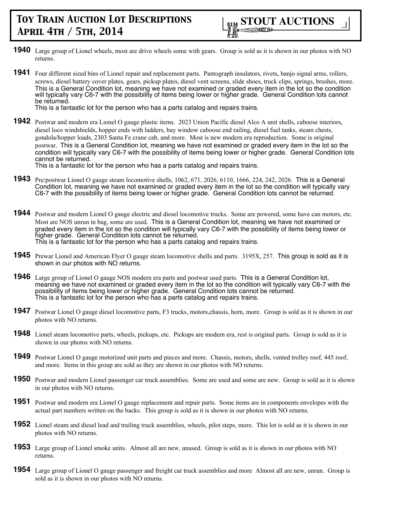

- **1940** Large group of Lionel wheels, most are drive wheels some with gears. Group is sold as it is shown in our photos with NO returns.
- **1941** Four different sized bins of Lionel repair and replacement parts. Pantograph insulators, rivets, banjo signal arms, rollers, screws, diesel battery cover plates, gears, pickup plates, diesel vent screens, slide shoes, truck clips, springs, brushes, more. This is a General Condition lot, meaning we have not examined or graded every item in the lot so the condition will typically vary C6-7 with the possibility of items being lower or higher grade. General Condition lots cannot be returned.

This is a fantastic lot for the person who has a parts catalog and repairs trains.

**1942** Postwar and modern era Lionel O gauge plastic items. 2023 Union Pacific diesel Alco A unit shells, caboose interiors, diesel loco windshields, hopper ends with ladders, bay window caboose end railing, diesel fuel tanks, steam chests, gondola/hopper loads, 2303 Santa Fe crane cab, and more. Most is new modern era reproduction. Some is original postwar. This is a General Condition lot, meaning we have not examined or graded every item in the lot so the condition will typically vary C6-7 with the possibility of items being lower or higher grade. General Condition lots cannot be returned.

This is a fantastic lot for the person who has a parts catalog and repairs trains.

- **1943** Pre/postwar Lionel O gauge steam locomotive shells, 1062, 671, 2026, 6110, 1666, 224, 242, 2026. This is a General Condition lot, meaning we have not examined or graded every item in the lot so the condition will typically vary C6-7 with the possibility of items being lower or higher grade. General Condition lots cannot be returned.
- **1944** Postwar and modern Lionel O gauge electric and diesel locomotive trucks. Some are powered, some have can motors, etc. Most are NOS unrun in bag, some are used. This is a General Condition lot, meaning we have not examined or graded every item in the lot so the condition will typically vary C6-7 with the possibility of items being lower or higher grade. General Condition lots cannot be returned. This is a fantastic lot for the person who has a parts catalog and repairs trains.
- **1945** Prewar Lionel and American Flyer O gauge steam locomotive shells and parts. 3195X, 257. This group is sold as it is shown in our photos with NO returns.
- **1946** Large group of Lionel O gauge NOS modern era parts and postwar used parts. This is a General Condition lot, meaning we have not examined or graded every item in the lot so the condition will typically vary C6-7 with the possibility of items being lower or higher grade. General Condition lots cannot be returned. This is a fantastic lot for the person who has a parts catalog and repairs trains.
- **1947** Postwar Lionel O gauge diesel locomotive parts, F3 trucks, motors, chassis, horn, more. Group is sold as it is shown in our photos with NO returns.
- **1948** Lionel steam locomotive parts, wheels, pickups, etc. Pickups are modern era, rest is original parts. Group is sold as it is shown in our photos with NO returns.
- **1949** Postwar Lionel O gauge motorized unit parts and pieces and more. Chassis, motors, shells, vented trolley roof, 445 roof, and more. Items in this group are sold as they are shown in our photos with NO returns.
- **1950** Postwar and modern Lionel passenger car truck assemblies. Some are used and some are new. Group is sold as it is shown in our photos with NO returns.
- **1951** Postwar and modern era Lionel O gauge replacement and repair parts. Some items are in components envelopes with the actual part numbers written on the backs. This group is sold as it is shown in our photos with NO returns.
- **1952** Lionel steam and diesel lead and trailing truck assemblies, wheels, pilot steps, more. This lot is sold as it is shown in our photos with NO returns.
- **1953** Large group of Lionel smoke units. Almost all are new, unused. Group is sold as it is shown in our photos with NO returns.
- **1954** Large group of Lionel O gauge passenger and freight car truck assemblies and more Almost all are new, unrun. Group is sold as it is shown in our photos with NO returns.